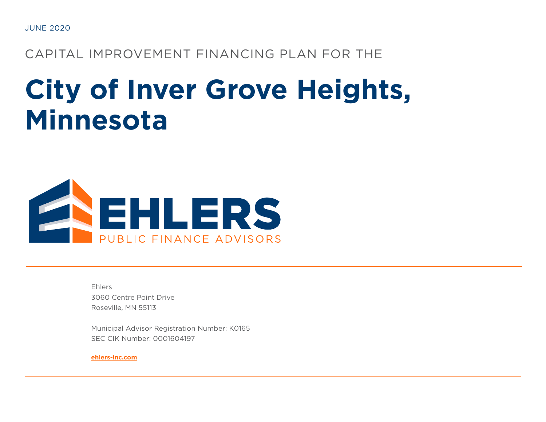JUNE 2020

CAPITAL IMPROVEMENT FINANCING PLAN FOR THE

# **City of Inver Grove Heights, Minnesota**



Ehlers 3060 Centre Point Drive Roseville, MN 55113

Municipal Advisor Registration Number: K0165 SEC CIK Number: 0001604197

**[ehlers-inc.com](https://www.ehlers-inc.com/)**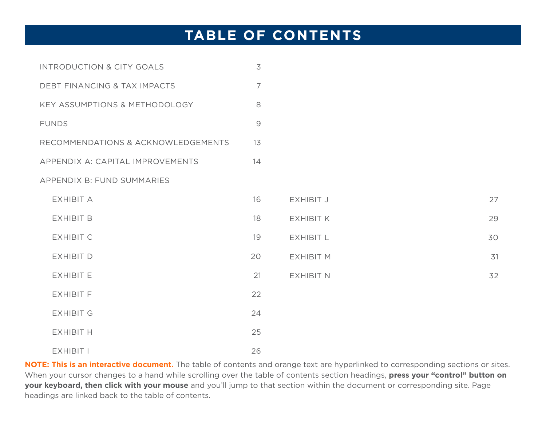# <span id="page-1-0"></span>**TABLE OF CONTENTS**

| INTRODUCTION & CITY GOALS          | $\overline{3}$ |                  |    |
|------------------------------------|----------------|------------------|----|
| DEBT FINANCING & TAX IMPACTS       | $\overline{7}$ |                  |    |
| KEY ASSUMPTIONS & METHODOLOGY      | 8              |                  |    |
| <b>FUNDS</b>                       | $\mathcal{G}$  |                  |    |
| RECOMMENDATIONS & ACKNOWLEDGEMENTS | 13             |                  |    |
| APPENDIX A: CAPITAL IMPROVEMENTS   | 14             |                  |    |
| APPENDIX B: FUND SUMMARIES         |                |                  |    |
| <b>EXHIBIT A</b>                   | 16             | EXHIBIT J        | 27 |
| <b>EXHIBIT B</b>                   | 18             | <b>EXHIBIT K</b> | 29 |
| <b>EXHIBIT C</b>                   | 19             | <b>EXHIBIT L</b> | 30 |
| <b>EXHIBIT D</b>                   | 20             | <b>EXHIBIT M</b> | 31 |
| <b>EXHIBIT E</b>                   | 21             | <b>EXHIBIT N</b> | 32 |
| <b>EXHIBIT F</b>                   | 22             |                  |    |
| <b>EXHIBIT G</b>                   | 24             |                  |    |
| <b>EXHIBIT H</b>                   | 25             |                  |    |
| EXHIBIT I                          | 26             |                  |    |

**NOTE: This is an interactive document.** The table of contents and orange text are hyperlinked to corresponding sections or sites. When your cursor changes to a hand while scrolling over the table of contents section headings, **press your "control" button on your keyboard, then click with your mouse** and you'll jump to that section within the document or corresponding site. Page headings are linked back to the table of contents.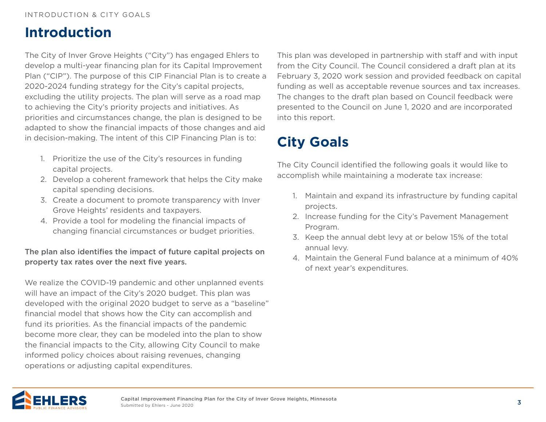# <span id="page-2-0"></span>**Introduction**

The City of Inver Grove Heights ("City") has engaged Ehlers to develop a multi-year financing plan for its Capital Improvement Plan ("CIP"). The purpose of this CIP Financial Plan is to create a 2020-2024 funding strategy for the City's capital projects, excluding the utility projects. The plan will serve as a road map to achieving the City's priority projects and initiatives. As priorities and circumstances change, the plan is designed to be adapted to show the financial impacts of those changes and aid in decision-making. The intent of this CIP Financing Plan is to:

- 1. Prioritize the use of the City's resources in funding capital projects.
- 2. Develop a coherent framework that helps the City make capital spending decisions.
- 3. Create a document to promote transparency with Inver Grove Heights' residents and taxpayers.
- 4. Provide a tool for modeling the financial impacts of changing financial circumstances or budget priorities.

### The plan also identifies the impact of future capital projects on property tax rates over the next five years.

We realize the COVID-19 pandemic and other unplanned events will have an impact of the City's 2020 budget. This plan was developed with the original 2020 budget to serve as a "baseline" financial model that shows how the City can accomplish and fund its priorities. As the financial impacts of the pandemic become more clear, they can be modeled into the plan to show the financial impacts to the City, allowing City Council to make informed policy choices about raising revenues, changing operations or adjusting capital expenditures.

This plan was developed in partnership with staff and with input from the City Council. The Council considered a draft plan at its February 3, 2020 work session and provided feedback on capital funding as well as acceptable revenue sources and tax increases. The changes to the draft plan based on Council feedback were presented to the Council on June 1, 2020 and are incorporated into this report.

# **City Goals**

The City Council identified the following goals it would like to accomplish while maintaining a moderate tax increase:

- 1. Maintain and expand its infrastructure by funding capital projects.
- 2. Increase funding for the City's Pavement Management Program.
- 3. Keep the annual debt levy at or below 15% of the total annual levy.
- 4. Maintain the General Fund balance at a minimum of 40% of next year's expenditures.

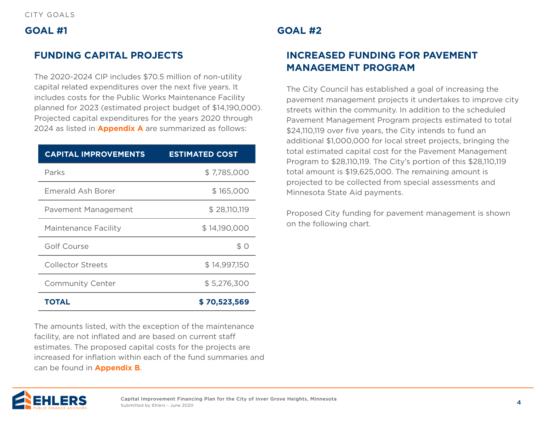### **GOAL #1**

## **FUNDING CAPITAL PROJECTS**

The 2020-2024 CIP includes \$70.5 million of non-utility capital related expenditures over the next five years. It includes costs for the Public Works Maintenance Facility planned for 2023 (estimated project budget of \$14,190,000). Projected capital expenditures for the years 2020 through 2024 as listed in **[Appendix A](#page-13-0)** are summarized as follows:

| <b>CAPITAL IMPROVEMENTS</b> | <b>ESTIMATED COST</b> |
|-----------------------------|-----------------------|
| Parks                       | \$7,785,000           |
| Emerald Ash Borer           | \$165,000             |
| Pavement Management         | \$28,110,119          |
| <b>Maintenance Facility</b> | \$14,190,000          |
| Golf Course                 | \$0                   |
| <b>Collector Streets</b>    | \$14,997,150          |
| <b>Community Center</b>     | \$5,276,300           |
| TOTAL                       | \$70,523,569          |

The amounts listed, with the exception of the maintenance facility, are not inflated and are based on current staff estimates. The proposed capital costs for the projects are increased for inflation within each of the fund summaries and can be found in **[Appendix B](#page-15-0)**.

## **GOAL #2**

# **INCREASED FUNDING FOR PAVEMENT MANAGEMENT PROGRAM**

The City Council has established a goal of increasing the pavement management projects it undertakes to improve city streets within the community. In addition to the scheduled Pavement Management Program projects estimated to total \$24,110,119 over five years, the City intends to fund an additional \$1,000,000 for local street projects, bringing the total estimated capital cost for the Pavement Management Program to \$28,110,119. The City's portion of this \$28,110,119 total amount is \$19,625,000. The remaining amount is projected to be collected from special assessments and Minnesota State Aid payments.

Proposed City funding for pavement management is shown on the following chart.

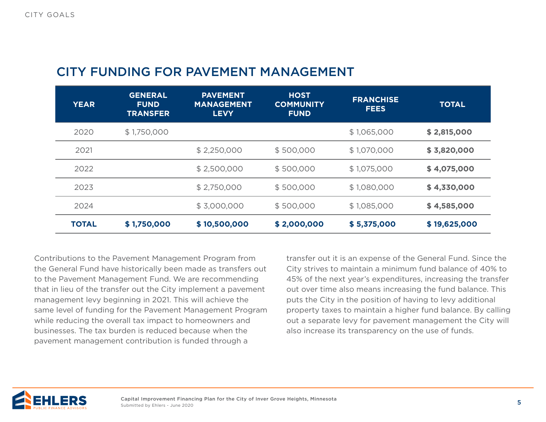# CITY FUNDING FOR PAVEMENT MANAGEMENT

| <b>YEAR</b>  | <b>GENERAL</b><br><b>FUND</b><br><b>TRANSFER</b> | <b>PAVEMENT</b><br><b>MANAGEMENT</b><br><b>LEVY</b> | <b>HOST</b><br><b>COMMUNITY</b><br><b>FUND</b> | <b>FRANCHISE</b><br><b>FEES</b> | <b>TOTAL</b> |
|--------------|--------------------------------------------------|-----------------------------------------------------|------------------------------------------------|---------------------------------|--------------|
| 2020         | \$1,750,000                                      |                                                     |                                                | \$1,065,000                     | \$2,815,000  |
| 2021         |                                                  | \$2,250,000                                         | \$500,000                                      | \$1,070,000                     | \$3,820,000  |
| 2022         |                                                  | \$2,500,000                                         | \$500,000                                      | \$1,075,000                     | \$4,075,000  |
| 2023         |                                                  | \$2,750,000                                         | \$500,000                                      | \$1,080,000                     | \$4,330,000  |
| 2024         |                                                  | \$3,000,000                                         | \$500,000                                      | \$1,085,000                     | \$4,585,000  |
| <b>TOTAL</b> | \$1,750,000                                      | \$10,500,000                                        | \$2,000,000                                    | \$5,375,000                     | \$19,625,000 |

Contributions to the Pavement Management Program from the General Fund have historically been made as transfers out to the Pavement Management Fund. We are recommending that in lieu of the transfer out the City implement a pavement management levy beginning in 2021. This will achieve the same level of funding for the Pavement Management Program while reducing the overall tax impact to homeowners and businesses. The tax burden is reduced because when the pavement management contribution is funded through a

transfer out it is an expense of the General Fund. Since the City strives to maintain a minimum fund balance of 40% to 45% of the next year's expenditures, increasing the transfer out over time also means increasing the fund balance. This puts the City in the position of having to levy additional property taxes to maintain a higher fund balance. By calling out a separate levy for pavement management the City will also increase its transparency on the use of funds.

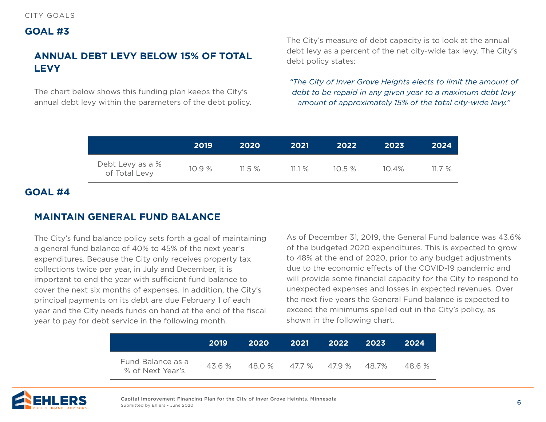### **GOAL #3**

# **ANNUAL DEBT LEVY BELOW 15% OF TOTAL LEVY**

The chart below shows this funding plan keeps the City's annual debt levy within the parameters of the debt policy. The City's measure of debt capacity is to look at the annual debt levy as a percent of the net city-wide tax levy. The City's debt policy states:

*"The City of Inver Grove Heights elects to limit the amount of debt to be repaid in any given year to a maximum debt levy amount of approximately 15% of the total city-wide levy."*

|                                   | 2019  | 2020  | 2021  | 2022      | 2023     | 2024  |
|-----------------------------------|-------|-------|-------|-----------|----------|-------|
| Debt Levy as a %<br>of Total Levy | 10.9% | 11.5% | 11.1% | $10.5 \%$ | $10.4\%$ | 11.7% |

### **GOAL #4**

## **MAINTAIN GENERAL FUND BALANCE**

The City's fund balance policy sets forth a goal of maintaining a general fund balance of 40% to 45% of the next year's expenditures. Because the City only receives property tax collections twice per year, in July and December, it is important to end the year with sufficient fund balance to cover the next six months of expenses. In addition, the City's principal payments on its debt are due February 1 of each year and the City needs funds on hand at the end of the fiscal year to pay for debt service in the following month.

As of December 31, 2019, the General Fund balance was 43.6% of the budgeted 2020 expenditures. This is expected to grow to 48% at the end of 2020, prior to any budget adjustments due to the economic effects of the COVID-19 pandemic and will provide some financial capacity for the City to respond to unexpected expenses and losses in expected revenues. Over the next five years the General Fund balance is expected to exceed the minimums spelled out in the City's policy, as shown in the following chart.

|                                       | 2019   | -2020 | 2021                        | 2022 | -2023 | -2024 |
|---------------------------------------|--------|-------|-----------------------------|------|-------|-------|
| Fund Balance as a<br>% of Next Year's | 43.6 % |       | 48.0 % 47.7 % 47.9 % 48.7 % |      |       | 48.6% |

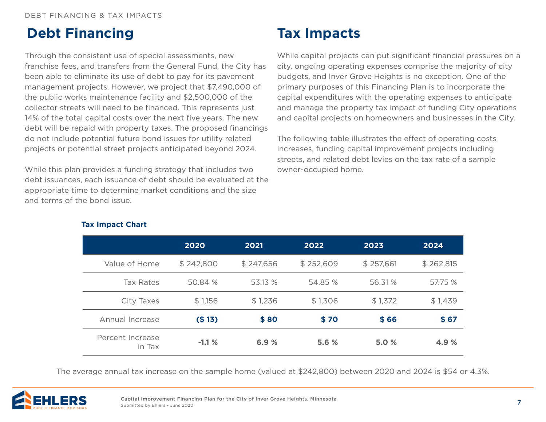# <span id="page-6-0"></span>**Debt Financing**

Through the consistent use of special assessments, new franchise fees, and transfers from the General Fund, the City has been able to eliminate its use of debt to pay for its pavement management projects. However, we project that \$7,490,000 of the public works maintenance facility and \$2,500,000 of the collector streets will need to be financed. This represents just 14% of the total capital costs over the next five years. The new debt will be repaid with property taxes. The proposed financings do not include potential future bond issues for utility related projects or potential street projects anticipated beyond 2024.

While this plan provides a funding strategy that includes two debt issuances, each issuance of debt should be evaluated at the appropriate time to determine market conditions and the size and terms of the bond issue.

# **Tax Impacts**

While capital projects can put significant financial pressures on a city, ongoing operating expenses comprise the majority of city budgets, and Inver Grove Heights is no exception. One of the primary purposes of this Financing Plan is to incorporate the capital expenditures with the operating expenses to anticipate and manage the property tax impact of funding City operations and capital projects on homeowners and businesses in the City.

The following table illustrates the effect of operating costs increases, funding capital improvement projects including streets, and related debt levies on the tax rate of a sample owner-occupied home.

|                            | 2020      | 2021      | 2022      | 2023      | 2024      |
|----------------------------|-----------|-----------|-----------|-----------|-----------|
| Value of Home              | \$242,800 | \$247,656 | \$252,609 | \$257,661 | \$262,815 |
| Tax Rates                  | 50.84 %   | 53.13 %   | 54.85 %   | 56.31%    | 57.75 %   |
| City Taxes                 | \$1,156   | \$1,236   | \$1,306   | \$1,372   | \$1,439   |
| Annual Increase            | (\$13)    | \$80      | \$70      | \$66      | \$67      |
| Percent Increase<br>in Tax | $-1.1%$   | 6.9%      | 5.6 %     | 5.0 %     | 4.9%      |

#### **Tax Impact Chart**

The average annual tax increase on the sample home (valued at \$242,800) between 2020 and 2024 is \$54 or 4.3%.

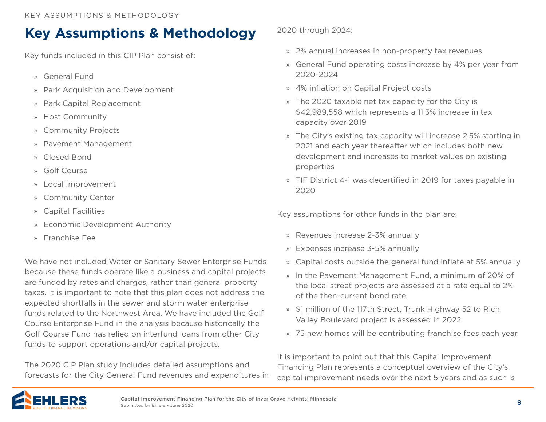# <span id="page-7-0"></span>**Key Assumptions & Methodology**

Key funds included in this CIP Plan consist of:

- » General Fund
- » Park Acquisition and Development
- » Park Capital Replacement
- » Host Community
- » Community Projects
- » Pavement Management
- » Closed Bond
- » Golf Course
- » Local Improvement
- » Community Center
- » Capital Facilities
- » Economic Development Authority
- » Franchise Fee

We have not included Water or Sanitary Sewer Enterprise Funds because these funds operate like a business and capital projects are funded by rates and charges, rather than general property taxes. It is important to note that this plan does not address the expected shortfalls in the sewer and storm water enterprise funds related to the Northwest Area. We have included the Golf Course Enterprise Fund in the analysis because historically the Golf Course Fund has relied on interfund loans from other City funds to support operations and/or capital projects.

The 2020 CIP Plan study includes detailed assumptions and forecasts for the City General Fund revenues and expenditures in 2020 through 2024:

- » 2% annual increases in non-property tax revenues
- » General Fund operating costs increase by 4% per year from 2020-2024
- » 4% inflation on Capital Project costs
- » The 2020 taxable net tax capacity for the City is \$42,989,558 which represents a 11.3% increase in tax capacity over 2019
- » The City's existing tax capacity will increase 2.5% starting in 2021 and each year thereafter which includes both new development and increases to market values on existing properties
- » TIF District 4-1 was decertified in 2019 for taxes payable in 2020

Key assumptions for other funds in the plan are:

- » Revenues increase 2-3% annually
- » Expenses increase 3-5% annually
- » Capital costs outside the general fund inflate at 5% annually
- » In the Pavement Management Fund, a minimum of 20% of the local street projects are assessed at a rate equal to 2% of the then-current bond rate.
- » \$1 million of the 117th Street, Trunk Highway 52 to Rich Valley Boulevard project is assessed in 2022
- » 75 new homes will be contributing franchise fees each year

It is important to point out that this Capital Improvement Financing Plan represents a conceptual overview of the City's capital improvement needs over the next 5 years and as such is

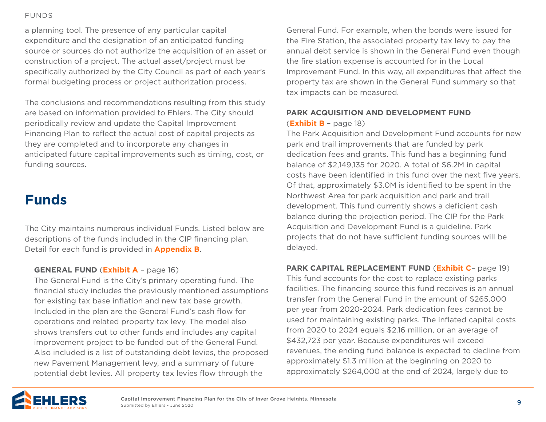<span id="page-8-0"></span>[FUNDS](#page-1-0)

a planning tool. The presence of any particular capital expenditure and the designation of an anticipated funding source or sources do not authorize the acquisition of an asset or construction of a project. The actual asset/project must be specifically authorized by the City Council as part of each year's formal budgeting process or project authorization process.

The conclusions and recommendations resulting from this study are based on information provided to Ehlers. The City should periodically review and update the Capital Improvement Financing Plan to reflect the actual cost of capital projects as they are completed and to incorporate any changes in anticipated future capital improvements such as timing, cost, or funding sources.

# **Funds**

The City maintains numerous individual Funds. Listed below are descriptions of the funds included in the CIP financing plan. Detail for each fund is provided in **[Appendix B](#page-15-0)**.

#### **GENERAL FUND** (**[Exhibit A](#page-15-0)** – page 16)

The General Fund is the City's primary operating fund. The financial study includes the previously mentioned assumptions for existing tax base inflation and new tax base growth. Included in the plan are the General Fund's cash flow for operations and related property tax levy. The model also shows transfers out to other funds and includes any capital improvement project to be funded out of the General Fund. Also included is a list of outstanding debt levies, the proposed new Pavement Management levy, and a summary of future potential debt levies. All property tax levies flow through the

General Fund. For example, when the bonds were issued for the Fire Station, the associated property tax levy to pay the annual debt service is shown in the General Fund even though the fire station expense is accounted for in the Local Improvement Fund. In this way, all expenditures that affect the property tax are shown in the General Fund summary so that tax impacts can be measured.

### **PARK ACQUISITION AND DEVELOPMENT FUND** (**[Exhibit B](#page-17-0)** – page 18)

The Park Acquisition and Development Fund accounts for new park and trail improvements that are funded by park dedication fees and grants. This fund has a beginning fund balance of \$2,149,135 for 2020. A total of \$6.2M in capital costs have been identified in this fund over the next five years. Of that, approximately \$3.0M is identified to be spent in the Northwest Area for park acquisition and park and trail development. This fund currently shows a deficient cash balance during the projection period. The CIP for the Park Acquisition and Development Fund is a guideline. Park projects that do not have sufficient funding sources will be delayed.

#### **PARK CAPITAL REPLACEMENT FUND** (**Exhibit C**– page 19)

This fund accounts for the cost to replace existing parks facilities. The financing source this fund receives is an annual transfer from the General Fund in the amount of \$265,000 per year from 2020-2024. Park dedication fees cannot be used for maintaining existing parks. The inflated capital costs from 2020 to 2024 equals \$2.16 million, or an average of \$432,723 per year. Because expenditures will exceed revenues, the ending fund balance is expected to decline from approximately \$1.3 million at the beginning on 2020 to approximately \$264,000 at the end of 2024, largely due to

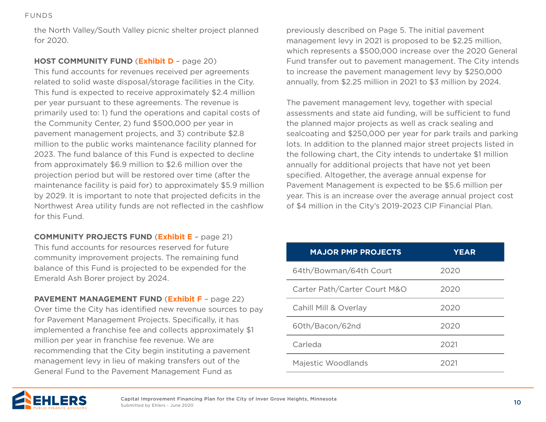the North Valley/South Valley picnic shelter project planned for 2020.

#### **HOST COMMUNITY FUND** (**[Exhibit D](#page-19-0)** – page 20)

This fund accounts for revenues received per agreements related to solid waste disposal/storage facilities in the City. This fund is expected to receive approximately \$2.4 million per year pursuant to these agreements. The revenue is primarily used to: 1) fund the operations and capital costs of the Community Center, 2) fund \$500,000 per year in pavement management projects, and 3) contribute \$2.8 million to the public works maintenance facility planned for 2023. The fund balance of this Fund is expected to decline from approximately \$6.9 million to \$2.6 million over the projection period but will be restored over time (after the maintenance facility is paid for) to approximately \$5.9 million by 2029. It is important to note that projected deficits in the Northwest Area utility funds are not reflected in the cashflow for this Fund.

**COMMUNITY PROJECTS FUND** (**[Exhibit E](#page-20-0)** – page 21) This fund accounts for resources reserved for future community improvement projects. The remaining fund balance of this Fund is projected to be expended for the Emerald Ash Borer project by 2024.

**PAVEMENT MANAGEMENT FUND** (**[Exhibit F](#page-21-0)** – page 22) Over time the City has identified new revenue sources to pay for Pavement Management Projects. Specifically, it has implemented a franchise fee and collects approximately \$1 million per year in franchise fee revenue. We are recommending that the City begin instituting a pavement management levy in lieu of making transfers out of the General Fund to the Pavement Management Fund as

previously described on Page 5. The initial pavement management levy in 2021 is proposed to be \$2.25 million, which represents a \$500,000 increase over the 2020 General Fund transfer out to pavement management. The City intends to increase the pavement management levy by \$250,000 annually, from \$2.25 million in 2021 to \$3 million by 2024.

The pavement management levy, together with special assessments and state aid funding, will be sufficient to fund the planned major projects as well as crack sealing and sealcoating and \$250,000 per year for park trails and parking lots. In addition to the planned major street projects listed in the following chart, the City intends to undertake \$1 million annually for additional projects that have not yet been specified. Altogether, the average annual expense for Pavement Management is expected to be \$5.6 million per year. This is an increase over the average annual project cost of \$4 million in the City's 2019-2023 CIP Financial Plan.

| <b>MAJOR PMP PROJECTS</b>    | <b>YEAR</b> |
|------------------------------|-------------|
| 64th/Bowman/64th Court       | 2020        |
| Carter Path/Carter Court M&O | 2020        |
| Cahill Mill & Overlay        | 2020        |
| 60th/Bacon/62nd              | 2020        |
| Carleda                      | 2021        |
| Majestic Woodlands           | 2021        |

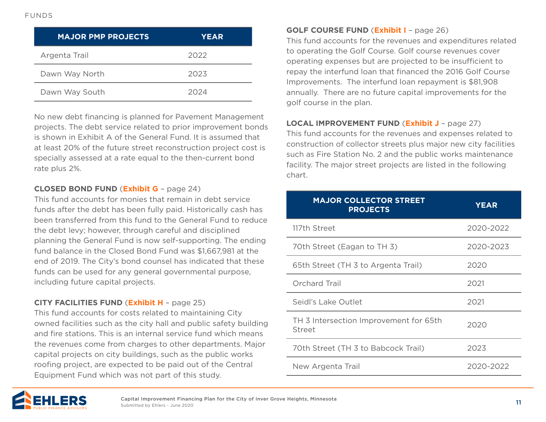| <b>MAJOR PMP PROJECTS</b> | <b>YEAR</b> |
|---------------------------|-------------|
| Argenta Trail             | 2022        |
| Dawn Way North            | 2023        |
| Dawn Way South            | 2024        |

No new debt financing is planned for Pavement Management projects. The debt service related to prior improvement bonds is shown in Exhibit A of the General Fund. It is assumed that at least 20% of the future street reconstruction project cost is specially assessed at a rate equal to the then-current bond rate plus 2%.

#### **CLOSED BOND FUND** (**[Exhibit G](#page-23-0)** – page 24)

This fund accounts for monies that remain in debt service funds after the debt has been fully paid. Historically cash has been transferred from this fund to the General Fund to reduce the debt levy; however, through careful and disciplined planning the General Fund is now self-supporting. The ending fund balance in the Closed Bond Fund was \$1,667,981 at the end of 2019. The City's bond counsel has indicated that these funds can be used for any general governmental purpose, including future capital projects.

#### **CITY FACILITIES FUND** (**[Exhibit H](#page-24-0)** – page 25)

This fund accounts for costs related to maintaining City owned facilities such as the city hall and public safety building and fire stations. This is an internal service fund which means the revenues come from charges to other departments. Major capital projects on city buildings, such as the public works roofing project, are expected to be paid out of the Central Equipment Fund which was not part of this study.

#### **GOLF COURSE FUND** (**[Exhibit I](#page-25-0)** – page 26)

This fund accounts for the revenues and expenditures related to operating the Golf Course. Golf course revenues cover operating expenses but are projected to be insufficient to repay the interfund loan that financed the 2016 Golf Course Improvements. The interfund loan repayment is \$81,908 annually. There are no future capital improvements for the golf course in the plan.

#### **LOCAL IMPROVEMENT FUND** (**[Exhibit J](#page-26-0)** – page 27)

This fund accounts for the revenues and expenses related to construction of collector streets plus major new city facilities such as Fire Station No. 2 and the public works maintenance facility. The major street projects are listed in the following chart.

| <b>MAJOR COLLECTOR STREET</b><br><b>PROJECTS</b> | <b>YEAR</b> |
|--------------------------------------------------|-------------|
| 117th Street                                     | 2020-2022   |
| 70th Street (Eagan to TH 3)                      | 2020-2023   |
| 65th Street (TH 3 to Argenta Trail)              | 2020        |
| Orchard Trail                                    | 2021        |
| Seidl's Lake Outlet                              | 2021        |
| TH 3 Intersection Improvement for 65th<br>Street | 2020        |
| 70th Street (TH 3 to Babcock Trail)              | 2023        |
| New Argenta Trail                                | 2020-2022   |

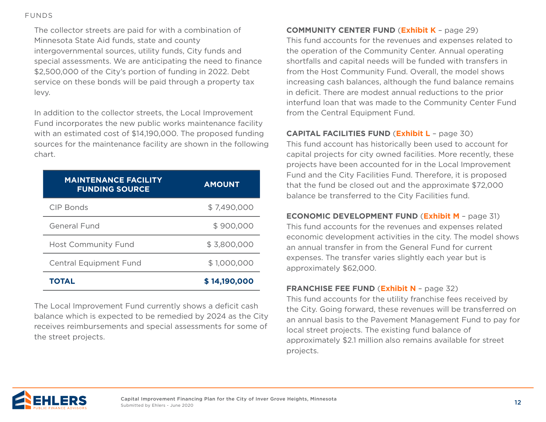#### [FUNDS](#page-1-0)

The collector streets are paid for with a combination of Minnesota State Aid funds, state and county intergovernmental sources, utility funds, City funds and special assessments. We are anticipating the need to finance \$2,500,000 of the City's portion of funding in 2022. Debt service on these bonds will be paid through a property tax levy.

In addition to the collector streets, the Local Improvement Fund incorporates the new public works maintenance facility with an estimated cost of \$14,190,000. The proposed funding sources for the maintenance facility are shown in the following chart.

| <b>MAINTENANCE FACILITY</b><br><b>FUNDING SOURCE</b> | <b>AMOUNT</b> |
|------------------------------------------------------|---------------|
| CIP Bonds                                            | \$7,490,000   |
| General Fund                                         | \$900,000     |
| <b>Host Community Fund</b>                           | \$3,800,000   |
| <b>Central Equipment Fund</b>                        | \$1,000,000   |
| <b>TOTAL</b>                                         | \$14,190,000  |

The Local Improvement Fund currently shows a deficit cash balance which is expected to be remedied by 2024 as the City receives reimbursements and special assessments for some of the street projects.

#### **COMMUNITY CENTER FUND** (**[Exhibit K](#page-28-0)** – page 29)

This fund accounts for the revenues and expenses related to the operation of the Community Center. Annual operating shortfalls and capital needs will be funded with transfers in from the Host Community Fund. Overall, the model shows increasing cash balances, although the fund balance remains in deficit. There are modest annual reductions to the prior interfund loan that was made to the Community Center Fund from the Central Equipment Fund.

### **CAPITAL FACILITIES FUND** (**[Exhibit L](#page-29-0)** – page 30)

This fund account has historically been used to account for capital projects for city owned facilities. More recently, these projects have been accounted for in the Local Improvement Fund and the City Facilities Fund. Therefore, it is proposed that the fund be closed out and the approximate \$72,000 balance be transferred to the City Facilities fund.

#### **ECONOMIC DEVELOPMENT FUND** (**[Exhibit M](#page-30-0)** – page 31)

This fund accounts for the revenues and expenses related economic development activities in the city. The model shows an annual transfer in from the General Fund for current expenses. The transfer varies slightly each year but is approximately \$62,000.

### **FRANCHISE FEE FUND** (**[Exhibit N](#page-31-0)** – page 32)

This fund accounts for the utility franchise fees received by the City. Going forward, these revenues will be transferred on an annual basis to the Pavement Management Fund to pay for local street projects. The existing fund balance of approximately \$2.1 million also remains available for street projects.

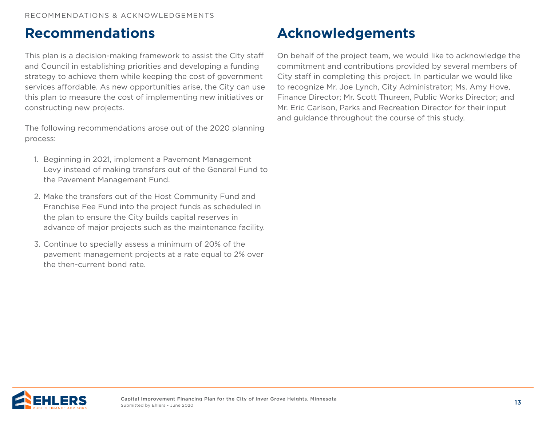# <span id="page-12-0"></span>**Recommendations**

This plan is a decision-making framework to assist the City staff and Council in establishing priorities and developing a funding strategy to achieve them while keeping the cost of government services affordable. As new opportunities arise, the City can use this plan to measure the cost of implementing new initiatives or constructing new projects.

The following recommendations arose out of the 2020 planning process:

- 1. Beginning in 2021, implement a Pavement Management Levy instead of making transfers out of the General Fund to the Pavement Management Fund.
- 2. Make the transfers out of the Host Community Fund and Franchise Fee Fund into the project funds as scheduled in the plan to ensure the City builds capital reserves in advance of major projects such as the maintenance facility.
- 3. Continue to specially assess a minimum of 20% of the pavement management projects at a rate equal to 2% over the then-current bond rate.

# **Acknowledgements**

On behalf of the project team, we would like to acknowledge the commitment and contributions provided by several members of City staff in completing this project. In particular we would like to recognize Mr. Joe Lynch, City Administrator; Ms. Amy Hove, Finance Director; Mr. Scott Thureen, Public Works Director; and Mr. Eric Carlson, Parks and Recreation Director for their input and guidance throughout the course of this study.

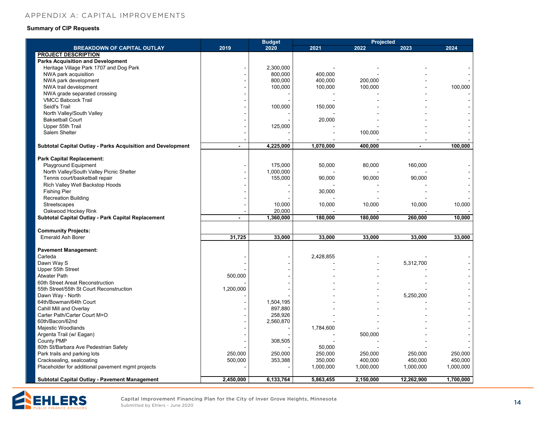#### <span id="page-13-0"></span>**CIPENDIX A' CAPITAL IMPROVEME** [APPENDIX A: CAPITAL IMPROVEMENTS](#page-1-0)

#### **Summary of CIP Requests**

|                                                                    |                | <b>Budget</b> |           |           | <b>Projected</b> |           |
|--------------------------------------------------------------------|----------------|---------------|-----------|-----------|------------------|-----------|
| <b>BREAKDOWN OF CAPITAL OUTLAY</b>                                 | 2019           | 2020          | 2021      | 2022      | 2023             | 2024      |
| <b>PROJECT DESCRIPTION</b>                                         |                |               |           |           |                  |           |
| <b>Parks Acquisition and Development</b>                           |                |               |           |           |                  |           |
| Heritage Village Park 1707 and Dog Park                            | ÷.             | 2,300,000     |           |           |                  |           |
| NWA park acquisition                                               |                | 800,000       | 400,000   |           |                  |           |
| NWA park development                                               | ÷              | 800,000       | 400,000   | 200,000   |                  |           |
| NWA trail development                                              |                | 100,000       | 100,000   | 100,000   |                  | 100,000   |
| NWA grade separated crossing                                       | $\blacksquare$ |               |           |           |                  |           |
| <b>VMCC Babcock Trail</b>                                          | $\blacksquare$ |               |           |           |                  |           |
| Seidl's Trail                                                      |                | 100,000       | 150,000   |           |                  |           |
| North Valley/South Valley                                          |                |               |           |           |                  |           |
| <b>Baksetball Court</b>                                            |                |               | 20,000    |           |                  |           |
| Upper 55th Trail                                                   |                | 125,000       |           |           |                  |           |
| Salem Shelter                                                      |                |               |           | 100,000   |                  |           |
|                                                                    |                |               |           |           |                  |           |
| <b>Subtotal Capital Outlay - Parks Acquisition and Development</b> |                | 4,225,000     | 1,070,000 | 400,000   |                  | 100,000   |
|                                                                    |                |               |           |           |                  |           |
| <b>Park Capital Replacement:</b>                                   |                |               |           |           |                  |           |
| Playground Equipment                                               | ä,             | 175,000       | 50,000    | 80,000    | 160,000          |           |
| North Valley/South Valley Picnic Shelter                           | $\blacksquare$ | 1,000,000     |           |           |                  |           |
| Tennis court/basketball repair                                     | $\blacksquare$ | 155,000       | 90,000    | 90,000    | 90,000           |           |
| Rich Valley Well Backstop Hoods                                    |                |               |           |           |                  |           |
| <b>Fishing Pier</b>                                                | ÷              |               | 30,000    |           |                  |           |
| <b>Recreation Building</b>                                         |                |               |           |           |                  |           |
| Streetscapes                                                       |                | 10,000        | 10,000    | 10,000    | 10,000           | 10,000    |
| Oakwood Hockey Rink                                                |                | 20,000        |           |           |                  |           |
| Subtotal Capital Outlay - Park Capital Replacement                 | $\blacksquare$ | 1,360,000     | 180,000   | 180.000   | 260,000          | 10,000    |
|                                                                    |                |               |           |           |                  |           |
| <b>Community Projects:</b>                                         |                |               |           |           |                  |           |
| <b>Emerald Ash Borer</b>                                           | 31,725         | 33,000        | 33,000    | 33,000    | 33,000           | 33,000    |
|                                                                    |                |               |           |           |                  |           |
| <b>Pavement Management:</b>                                        |                |               |           |           |                  |           |
| Carleda                                                            |                |               | 2,428,855 |           |                  |           |
| Dawn Way S                                                         |                |               |           |           | 5,312,700        |           |
| Upper 55th Street                                                  |                |               |           |           |                  |           |
| <b>Atwater Path</b>                                                | 500,000        |               |           |           |                  |           |
| 60th Street Areat Reconstruction                                   |                |               |           |           |                  |           |
| 55th Street/55th St Court Reconstruction                           | 1,200,000      |               |           |           |                  |           |
| Dawn Way - North                                                   |                |               |           |           | 5,250,200        |           |
| 64th/Bowman/64th Court                                             | ٠              | 1,504,195     |           |           |                  |           |
| Cahill Mill and Overlay                                            |                | 897,880       |           |           |                  |           |
| Carter Path/Carter Court M+O                                       | $\blacksquare$ | 258,926       |           |           |                  |           |
| 60th/Bacon/62nd                                                    |                | 2,560,870     |           |           |                  |           |
| Majestic Woodlands                                                 |                |               | 1,784,600 |           |                  |           |
| Argenta Trail (w/ Eagan)                                           |                |               |           | 500,000   |                  |           |
| <b>County PMP</b>                                                  |                | 308,505       |           |           |                  |           |
| 80th St/Barbara Ave Pedestrian Safety                              |                |               | 50,000    |           |                  |           |
| Park trails and parking lots                                       | 250,000        | 250,000       | 250,000   | 250,000   | 250,000          | 250,000   |
| Cracksealing, sealcoating                                          | 500,000        | 353,388       | 350,000   | 400,000   | 450,000          | 450,000   |
| Placeholder for additional pavement mgmt projects                  |                |               | 1,000,000 | 1,000,000 | 1,000,000        | 1,000,000 |
|                                                                    |                |               |           |           |                  |           |
| Subtotal Capital Outlay - Pavement Management                      | 2.450.000      | 6,133,764     | 5,863,455 | 2,150,000 | 12,262,900       | 1,700,000 |

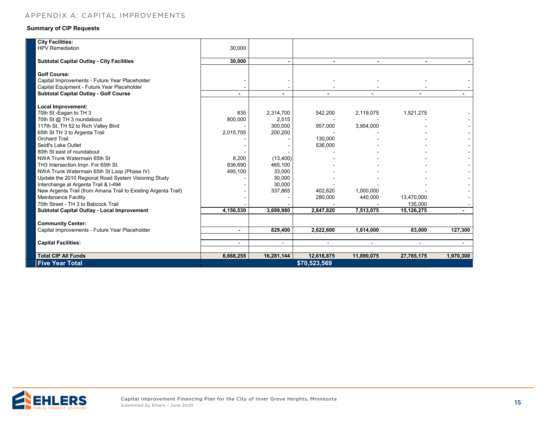#### **Summary of CIP Requests**

| <b>HPV Remediation</b><br>30,000<br>30,000<br><b>Subtotal Capital Outlay - City Facilities</b><br><b>Golf Course:</b><br>Capital Improvements - Future Year Placeholder<br>Capital Equipment - Future Year Placeholder<br><b>Subtotal Capital Outlay - Golf Course</b><br><b>Local Improvement:</b><br>70th St -Eagan to TH 3<br>835<br>2,314,700<br>542,200<br>2,119,075<br>1,521,275<br>70th St @ TH 3 roundabout<br>800,000<br>2,515<br>117th St, TH 52 to Rich Valley Blvd<br>300,000<br>957,000<br>3,954,000<br>65th St TH 3 to Argenta Trail<br>200,200<br>2,015,705<br><b>Orchard Trail</b><br>130.000<br>Seidl's Lake Outlet<br>536,000<br>80th St east of roundabout<br>NWA Trunk Watermain 65th St<br>8,200<br>(13, 400) |           |
|------------------------------------------------------------------------------------------------------------------------------------------------------------------------------------------------------------------------------------------------------------------------------------------------------------------------------------------------------------------------------------------------------------------------------------------------------------------------------------------------------------------------------------------------------------------------------------------------------------------------------------------------------------------------------------------------------------------------------------|-----------|
|                                                                                                                                                                                                                                                                                                                                                                                                                                                                                                                                                                                                                                                                                                                                    |           |
|                                                                                                                                                                                                                                                                                                                                                                                                                                                                                                                                                                                                                                                                                                                                    |           |
|                                                                                                                                                                                                                                                                                                                                                                                                                                                                                                                                                                                                                                                                                                                                    |           |
|                                                                                                                                                                                                                                                                                                                                                                                                                                                                                                                                                                                                                                                                                                                                    |           |
|                                                                                                                                                                                                                                                                                                                                                                                                                                                                                                                                                                                                                                                                                                                                    |           |
|                                                                                                                                                                                                                                                                                                                                                                                                                                                                                                                                                                                                                                                                                                                                    |           |
|                                                                                                                                                                                                                                                                                                                                                                                                                                                                                                                                                                                                                                                                                                                                    |           |
|                                                                                                                                                                                                                                                                                                                                                                                                                                                                                                                                                                                                                                                                                                                                    |           |
|                                                                                                                                                                                                                                                                                                                                                                                                                                                                                                                                                                                                                                                                                                                                    |           |
|                                                                                                                                                                                                                                                                                                                                                                                                                                                                                                                                                                                                                                                                                                                                    |           |
|                                                                                                                                                                                                                                                                                                                                                                                                                                                                                                                                                                                                                                                                                                                                    |           |
|                                                                                                                                                                                                                                                                                                                                                                                                                                                                                                                                                                                                                                                                                                                                    |           |
|                                                                                                                                                                                                                                                                                                                                                                                                                                                                                                                                                                                                                                                                                                                                    |           |
|                                                                                                                                                                                                                                                                                                                                                                                                                                                                                                                                                                                                                                                                                                                                    |           |
|                                                                                                                                                                                                                                                                                                                                                                                                                                                                                                                                                                                                                                                                                                                                    |           |
|                                                                                                                                                                                                                                                                                                                                                                                                                                                                                                                                                                                                                                                                                                                                    |           |
|                                                                                                                                                                                                                                                                                                                                                                                                                                                                                                                                                                                                                                                                                                                                    |           |
|                                                                                                                                                                                                                                                                                                                                                                                                                                                                                                                                                                                                                                                                                                                                    |           |
| TH3 Intersection Impr. For 65th St.<br>836.690<br>465,100                                                                                                                                                                                                                                                                                                                                                                                                                                                                                                                                                                                                                                                                          |           |
| NWA Trunk Watermain 65th St Loop (Phase IV)<br>495,100<br>33,000                                                                                                                                                                                                                                                                                                                                                                                                                                                                                                                                                                                                                                                                   |           |
| Update the 2010 Regional Road System Visioning Study<br>30,000                                                                                                                                                                                                                                                                                                                                                                                                                                                                                                                                                                                                                                                                     |           |
| Interchange at Argenta Trail & I-494<br>30,000                                                                                                                                                                                                                                                                                                                                                                                                                                                                                                                                                                                                                                                                                     |           |
| New Argenta Trail (from Amana Trail to Existing Argenta Trail)<br>337,865<br>402.620<br>1.000.000                                                                                                                                                                                                                                                                                                                                                                                                                                                                                                                                                                                                                                  |           |
| <b>Maintenance Facility</b><br>13,470,000<br>280,000<br>440,000                                                                                                                                                                                                                                                                                                                                                                                                                                                                                                                                                                                                                                                                    |           |
| 70th Street - TH 3 to Babcock Trail<br>135,000                                                                                                                                                                                                                                                                                                                                                                                                                                                                                                                                                                                                                                                                                     |           |
| 4,156,530<br>3,699,980<br>2,847,820<br>7,513,075<br>Subtotal Capital Outlay - Local Improvement<br>15,126,275                                                                                                                                                                                                                                                                                                                                                                                                                                                                                                                                                                                                                      |           |
|                                                                                                                                                                                                                                                                                                                                                                                                                                                                                                                                                                                                                                                                                                                                    |           |
| <b>Community Center:</b>                                                                                                                                                                                                                                                                                                                                                                                                                                                                                                                                                                                                                                                                                                           |           |
| Capital Improvements - Future Year Placeholder<br>829,400<br>2,622,600<br>1,614,000<br>83.000<br>$\blacksquare$                                                                                                                                                                                                                                                                                                                                                                                                                                                                                                                                                                                                                    | 127,300   |
|                                                                                                                                                                                                                                                                                                                                                                                                                                                                                                                                                                                                                                                                                                                                    |           |
| <b>Capital Facilities:</b><br>$\overline{a}$<br>$\sim$<br>$\sim$<br>÷<br>$\sim$                                                                                                                                                                                                                                                                                                                                                                                                                                                                                                                                                                                                                                                    | $\sim$    |
|                                                                                                                                                                                                                                                                                                                                                                                                                                                                                                                                                                                                                                                                                                                                    |           |
| <b>Total CIP All Funds</b><br>6,668,255<br>16,281,144<br>12,616,875<br>11,890,075<br>27,765,175                                                                                                                                                                                                                                                                                                                                                                                                                                                                                                                                                                                                                                    |           |
| <b>Five Year Total</b><br>\$70,523,569                                                                                                                                                                                                                                                                                                                                                                                                                                                                                                                                                                                                                                                                                             | 1,970,300 |

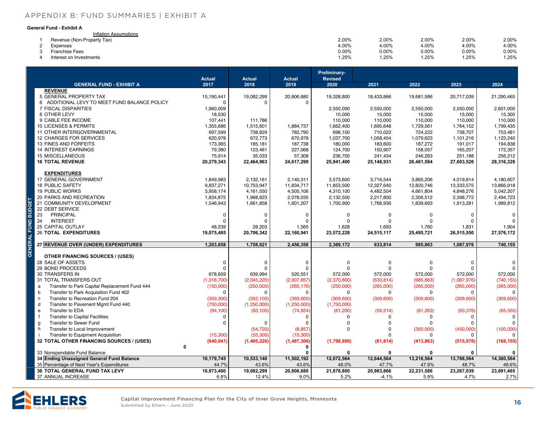#### <span id="page-15-0"></span>**CITY OF INVER GROVE HEIGHTS, MINNESOTA** [APPENDIX B: FUND SUMMARIES | EXHIBIT A](#page-1-0)**Capital Improvement Plan Financing Plan**

#### **General Fund - Exhibit A**

| eneral Fund - Exhibit A    |       |       |       |          |          |
|----------------------------|-------|-------|-------|----------|----------|
| Inflation Assumptions      |       |       |       |          |          |
| Revenue (Non-Property Tax) | 2.00% | 2.00% | 2.00% | 2.00%    | 2.00%    |
| Expenses                   | 4.00% | 4.00% | 4.00% | 4.00%    | 4.00%    |
| <b>Franchise Fees</b>      | 0.00% | 0.00% | 0.00% | $0.00\%$ | $0.00\%$ |
| Interest on Investments    | 1.25% | 1.25% | 1.25% | .25%     | 1.25%    |

| <b>GENERAL FUND - EXHIBIT A</b><br>2017<br>2018<br>2019<br>2020<br>2021<br>2022<br>2023<br>2024<br><b>REVENUE</b><br>5 GENERAL PROPERTY TAX<br>15,190,441<br>19,082,299<br>20,806,680<br>19,328,800<br>18,433,866<br>19,681,586<br>20,717,039<br>21,290,465<br>6 ADDITIONAL LEVY TO MEET FUND BALANCE POLICY<br>$\Omega$<br>$\Omega$<br>0<br>7 FISCAL DISPARITIES<br>1,960,009<br>2,550,000<br>2,550,000<br>2,550,000<br>2,550,000<br>2,601,000<br>8 OTHER LEVY<br>18,530<br>15,000<br>15,000<br>15,000<br>15,000<br>15,300<br>9 CABLE FEE INCOME<br>107,441<br>111,786<br>110,000<br>110,000<br>110,000<br>110,000<br>110,000<br>10 LICENSES & PERMITS<br>1,355,686<br>1,515,601<br>1,884,737<br>1,662,400<br>1,695,648<br>1,729,561<br>1,799,435<br>1,764,152<br>11 OTHER INTERGOVERNMENTAL<br>697,599<br>738,829<br>782,790<br>696,100<br>710,022<br>724,222<br>738,707<br>753,481<br>12 CHARGES FOR SERVICES<br>670,978<br>620,978<br>672,773<br>1,037,700<br>1,058,454<br>1,079,623<br>1,101,216<br>1,123,240<br>13 FINES AND FORFEITS<br>173,365<br>185,181<br>187,738<br>180,000<br>183,600<br>187,272<br>191,017<br>194,838<br><b>14 INTEREST EARNINGS</b><br>79,380<br>123,461<br>227,068<br>124,700<br>150,907<br>158,057<br>172,357<br>165,207<br>75,914<br>35,033<br>256,212<br><b>15 MISCELLANEOUS</b><br>57,308<br>236,700<br>241,434<br>246,263<br>251,188<br><b>16 TOTAL REVENUE</b><br>20,279,343<br>22,464,963<br>24,617,299<br>25,941,400<br>25,148,931<br>26,481,584<br>27,603,526<br>28,316,328<br><b>EXPENDITURES</b><br>17 GENERAL GOVERNMENT<br>1,849,983<br>2,132,161<br>2,140,311<br>3,573,600<br>3,716,544<br>3,865,206<br>4,019,814<br>4,180,607<br><b>18 PUBLIC SAFETY</b><br>9,837,271<br>10,753,947<br>11,834,717<br>11,853,500<br>12,327,640<br>12,820,746<br>13,333,575<br>13,866,918<br><b>19 PUBLIC WORKS</b><br>3,958,174<br>4,161,550<br>4,482,504<br>4,848,276<br>5,042,207<br>4,505,106<br>4,310,100<br>4,661,804<br>20 PARKS AND RECREATION<br>1,834,875<br>1,968,623<br>2,078,035<br>2,132,500<br>2,217,800<br>2,306,512<br>2,398,772<br>2,494,723<br>21 COMMUNITY DEVELOPMENT<br>1,546,943<br>1,661,858<br>1,601,207<br>1,700,900<br>1,768,936<br>1,839,693<br>1,913,281<br>1,989,812<br>22 DEBT SERVICE<br>23<br>PRINCIPAL<br>0<br>0<br>0<br>$\mathbf 0$<br>0<br>$\Omega$<br>0<br>0<br><b>INTEREST</b><br>24<br>$\Omega$<br>0<br>$\Omega$<br>0<br>$\Omega$<br>0<br>$\Omega$<br><b>25 CAPITAL OUTLAY</b><br>48,239<br>28,203<br>1,628<br>1,693<br>1,565<br>1,760<br>1,831<br>1,904<br><b>26 TOTAL EXPENDITURES</b><br>20,706,342<br>27,576,172<br>19,075,485<br>22,160,941<br>23,572,228<br>24,515,117<br>25,495,721<br>26,515,550<br>27 REVENUE OVER (UNDER) EXPENDITURES<br>1,203,858<br>1,758,621<br>2,456,358<br>2,369,172<br>633,814<br>985,863<br>1,087,976<br>740,155<br><b>OTHER FINANCING SOURCES / (USES)</b><br>28 SALE OF ASSETS<br>0<br>0<br>0<br>0<br>0<br>0<br>0<br>29 BOND PROCEEDS<br>0<br>$\Omega$<br>$\Omega$<br>$\Omega$<br>$\Omega$<br>30 TRANSFERS IN<br>572,000<br>678,659<br>639,994<br>520,551<br>572,000<br>572,000<br>572,000<br>572,000<br>31 TOTAL TRANSFERS OUT<br>(1,318,700)<br>(2,045,220)<br>(2,007,857)<br>(2,370,800)<br>(633, 814)<br>(985, 863)<br>(1,087,976)<br>(740, 155)<br>Transfer to Park Capital Replacement Fund 444<br>(150,000)<br>(250,000)<br>(265, 176)<br>(250,000)<br>(265,000)<br>(265,000)<br>(265,000)<br>(265,000)<br>a<br>Transfer to Park Acquisition Fund 402<br>b<br>0<br>$\Omega$<br>0<br>0<br>0<br>0<br>$\Omega$<br>$\mathbf c$<br>(309, 600)<br>Transfer to Recreation Fund 204<br>(359, 300)<br>(352, 100)<br>(393,600)<br>(309, 600)<br>(309, 600)<br>(309, 600)<br>(309, 600)<br>d<br>Transfer to Pavement Mgmt Fund 440<br>(700,000)<br>(1,250,000)<br>(1,250,000)<br>(1,750,000)<br>$\mathbf{e}$<br>Transfer to EDA<br>(94, 100)<br>(83, 100)<br>(74, 924)<br>(61, 200)<br>(59, 214)<br>(63, 376)<br>(65, 555)<br>(61, 263)<br>$\mathsf{f}$<br><b>Transfer to Capital Facilities</b><br>0<br>0<br>$\Omega$<br>0<br>0<br>$\Omega$<br><b>Transfer to Sewer Fund</b><br>$\Omega$<br>0<br>$\Omega$<br>g<br>$\Omega$<br>Transfer to Local Improvement<br>(54, 720)<br>(8, 857)<br>$\Omega$<br>(350,000)<br>(450,000)<br>(100,000)<br>h<br>$\Omega$<br><b>Transfer to Equipment Acquisition</b><br>(15,300)<br>(55, 300)<br>(15,300)<br>$\Omega$<br>$\Omega$<br>$\Omega$<br>32 TOTAL OTHER FINANCING SOURCES / (USES)<br>(168, 155)<br>(640, 041)<br>(1,405,226)<br>(1,487,306)<br>(1,798,800)<br>(61, 814)<br>(413, 863)<br>(515, 976)<br>0<br>0<br>33 Nonspendable Fund Balance<br>0<br>$\Omega$<br>0<br>0<br>0<br>34 Ending Unassigned General Fund Balance<br>10,179,745<br>10,533,140<br>11,502,192<br>12,072,564<br>12,644,564<br>13,216,564<br>13,788,564<br>14,360,564<br>43.6%<br>48.6%<br>35 Percentage of Next Year's Expenditures<br>44.7%<br>43.6%<br>48.0%<br>47.7%<br>47.9%<br>48.7%<br>36 TOTAL GENERAL FUND TAX LEVY<br>16,973,400<br>19,082,299<br>20,806,680<br>21,878,800<br>20,983,866<br>22,231,586<br>23,267,039<br>23,891,465<br>37 ANNUAL INCREASE<br>6.8%<br>12.4%<br>9.0%<br>5.2%<br>2.7%<br>-4.1%<br>5.9%<br>4.7%<br>Capital Improvement Financing Plan for the City of Inver Grove Heights, Minnesota<br>16<br>Submitted by Ehlers - June 2020 |  |  |               |               |               | <b>Preliminary-</b> |  |  |
|---------------------------------------------------------------------------------------------------------------------------------------------------------------------------------------------------------------------------------------------------------------------------------------------------------------------------------------------------------------------------------------------------------------------------------------------------------------------------------------------------------------------------------------------------------------------------------------------------------------------------------------------------------------------------------------------------------------------------------------------------------------------------------------------------------------------------------------------------------------------------------------------------------------------------------------------------------------------------------------------------------------------------------------------------------------------------------------------------------------------------------------------------------------------------------------------------------------------------------------------------------------------------------------------------------------------------------------------------------------------------------------------------------------------------------------------------------------------------------------------------------------------------------------------------------------------------------------------------------------------------------------------------------------------------------------------------------------------------------------------------------------------------------------------------------------------------------------------------------------------------------------------------------------------------------------------------------------------------------------------------------------------------------------------------------------------------------------------------------------------------------------------------------------------------------------------------------------------------------------------------------------------------------------------------------------------------------------------------------------------------------------------------------------------------------------------------------------------------------------------------------------------------------------------------------------------------------------------------------------------------------------------------------------------------------------------------------------------------------------------------------------------------------------------------------------------------------------------------------------------------------------------------------------------------------------------------------------------------------------------------------------------------------------------------------------------------------------------------------------------------------------------------------------------------------------------------------------------------------------------------------------------------------------------------------------------------------------------------------------------------------------------------------------------------------------------------------------------------------------------------------------------------------------------------------------------------------------------------------------------------------------------------------------------------------------------------------------------------------------------------------------------------------------------------------------------------------------------------------------------------------------------------------------------------------------------------------------------------------------------------------------------------------------------------------------------------------------------------------------------------------------------------------------------------------------------------------------------------------------------------------------------------------------------------------------------------------------------------------------------------------------------------------------------------------------------------------------------------------------------------------------------------------------------------------------------------------------------------------------------------------------------------------------------------------------------------------------------------------------------------------------------------------------------------------------------------------------------------------------------------------------------------------------------------------------------------------------------------------------------------------------------------------------------------------------------------------------------------------------------------------------------------------------------------------------------------------------------------------------------------------------------------------------|--|--|---------------|---------------|---------------|---------------------|--|--|
|                                                                                                                                                                                                                                                                                                                                                                                                                                                                                                                                                                                                                                                                                                                                                                                                                                                                                                                                                                                                                                                                                                                                                                                                                                                                                                                                                                                                                                                                                                                                                                                                                                                                                                                                                                                                                                                                                                                                                                                                                                                                                                                                                                                                                                                                                                                                                                                                                                                                                                                                                                                                                                                                                                                                                                                                                                                                                                                                                                                                                                                                                                                                                                                                                                                                                                                                                                                                                                                                                                                                                                                                                                                                                                                                                                                                                                                                                                                                                                                                                                                                                                                                                                                                                                                                                                                                                                                                                                                                                                                                                                                                                                                                                                                                                                                                                                                                                                                                                                                                                                                                                                                                                                                                                                                                                       |  |  | <b>Actual</b> | <b>Actual</b> | <b>Actual</b> | <b>Revised</b>      |  |  |
|                                                                                                                                                                                                                                                                                                                                                                                                                                                                                                                                                                                                                                                                                                                                                                                                                                                                                                                                                                                                                                                                                                                                                                                                                                                                                                                                                                                                                                                                                                                                                                                                                                                                                                                                                                                                                                                                                                                                                                                                                                                                                                                                                                                                                                                                                                                                                                                                                                                                                                                                                                                                                                                                                                                                                                                                                                                                                                                                                                                                                                                                                                                                                                                                                                                                                                                                                                                                                                                                                                                                                                                                                                                                                                                                                                                                                                                                                                                                                                                                                                                                                                                                                                                                                                                                                                                                                                                                                                                                                                                                                                                                                                                                                                                                                                                                                                                                                                                                                                                                                                                                                                                                                                                                                                                                                       |  |  |               |               |               |                     |  |  |
|                                                                                                                                                                                                                                                                                                                                                                                                                                                                                                                                                                                                                                                                                                                                                                                                                                                                                                                                                                                                                                                                                                                                                                                                                                                                                                                                                                                                                                                                                                                                                                                                                                                                                                                                                                                                                                                                                                                                                                                                                                                                                                                                                                                                                                                                                                                                                                                                                                                                                                                                                                                                                                                                                                                                                                                                                                                                                                                                                                                                                                                                                                                                                                                                                                                                                                                                                                                                                                                                                                                                                                                                                                                                                                                                                                                                                                                                                                                                                                                                                                                                                                                                                                                                                                                                                                                                                                                                                                                                                                                                                                                                                                                                                                                                                                                                                                                                                                                                                                                                                                                                                                                                                                                                                                                                                       |  |  |               |               |               |                     |  |  |
|                                                                                                                                                                                                                                                                                                                                                                                                                                                                                                                                                                                                                                                                                                                                                                                                                                                                                                                                                                                                                                                                                                                                                                                                                                                                                                                                                                                                                                                                                                                                                                                                                                                                                                                                                                                                                                                                                                                                                                                                                                                                                                                                                                                                                                                                                                                                                                                                                                                                                                                                                                                                                                                                                                                                                                                                                                                                                                                                                                                                                                                                                                                                                                                                                                                                                                                                                                                                                                                                                                                                                                                                                                                                                                                                                                                                                                                                                                                                                                                                                                                                                                                                                                                                                                                                                                                                                                                                                                                                                                                                                                                                                                                                                                                                                                                                                                                                                                                                                                                                                                                                                                                                                                                                                                                                                       |  |  |               |               |               |                     |  |  |
|                                                                                                                                                                                                                                                                                                                                                                                                                                                                                                                                                                                                                                                                                                                                                                                                                                                                                                                                                                                                                                                                                                                                                                                                                                                                                                                                                                                                                                                                                                                                                                                                                                                                                                                                                                                                                                                                                                                                                                                                                                                                                                                                                                                                                                                                                                                                                                                                                                                                                                                                                                                                                                                                                                                                                                                                                                                                                                                                                                                                                                                                                                                                                                                                                                                                                                                                                                                                                                                                                                                                                                                                                                                                                                                                                                                                                                                                                                                                                                                                                                                                                                                                                                                                                                                                                                                                                                                                                                                                                                                                                                                                                                                                                                                                                                                                                                                                                                                                                                                                                                                                                                                                                                                                                                                                                       |  |  |               |               |               |                     |  |  |
|                                                                                                                                                                                                                                                                                                                                                                                                                                                                                                                                                                                                                                                                                                                                                                                                                                                                                                                                                                                                                                                                                                                                                                                                                                                                                                                                                                                                                                                                                                                                                                                                                                                                                                                                                                                                                                                                                                                                                                                                                                                                                                                                                                                                                                                                                                                                                                                                                                                                                                                                                                                                                                                                                                                                                                                                                                                                                                                                                                                                                                                                                                                                                                                                                                                                                                                                                                                                                                                                                                                                                                                                                                                                                                                                                                                                                                                                                                                                                                                                                                                                                                                                                                                                                                                                                                                                                                                                                                                                                                                                                                                                                                                                                                                                                                                                                                                                                                                                                                                                                                                                                                                                                                                                                                                                                       |  |  |               |               |               |                     |  |  |
|                                                                                                                                                                                                                                                                                                                                                                                                                                                                                                                                                                                                                                                                                                                                                                                                                                                                                                                                                                                                                                                                                                                                                                                                                                                                                                                                                                                                                                                                                                                                                                                                                                                                                                                                                                                                                                                                                                                                                                                                                                                                                                                                                                                                                                                                                                                                                                                                                                                                                                                                                                                                                                                                                                                                                                                                                                                                                                                                                                                                                                                                                                                                                                                                                                                                                                                                                                                                                                                                                                                                                                                                                                                                                                                                                                                                                                                                                                                                                                                                                                                                                                                                                                                                                                                                                                                                                                                                                                                                                                                                                                                                                                                                                                                                                                                                                                                                                                                                                                                                                                                                                                                                                                                                                                                                                       |  |  |               |               |               |                     |  |  |
|                                                                                                                                                                                                                                                                                                                                                                                                                                                                                                                                                                                                                                                                                                                                                                                                                                                                                                                                                                                                                                                                                                                                                                                                                                                                                                                                                                                                                                                                                                                                                                                                                                                                                                                                                                                                                                                                                                                                                                                                                                                                                                                                                                                                                                                                                                                                                                                                                                                                                                                                                                                                                                                                                                                                                                                                                                                                                                                                                                                                                                                                                                                                                                                                                                                                                                                                                                                                                                                                                                                                                                                                                                                                                                                                                                                                                                                                                                                                                                                                                                                                                                                                                                                                                                                                                                                                                                                                                                                                                                                                                                                                                                                                                                                                                                                                                                                                                                                                                                                                                                                                                                                                                                                                                                                                                       |  |  |               |               |               |                     |  |  |
|                                                                                                                                                                                                                                                                                                                                                                                                                                                                                                                                                                                                                                                                                                                                                                                                                                                                                                                                                                                                                                                                                                                                                                                                                                                                                                                                                                                                                                                                                                                                                                                                                                                                                                                                                                                                                                                                                                                                                                                                                                                                                                                                                                                                                                                                                                                                                                                                                                                                                                                                                                                                                                                                                                                                                                                                                                                                                                                                                                                                                                                                                                                                                                                                                                                                                                                                                                                                                                                                                                                                                                                                                                                                                                                                                                                                                                                                                                                                                                                                                                                                                                                                                                                                                                                                                                                                                                                                                                                                                                                                                                                                                                                                                                                                                                                                                                                                                                                                                                                                                                                                                                                                                                                                                                                                                       |  |  |               |               |               |                     |  |  |
|                                                                                                                                                                                                                                                                                                                                                                                                                                                                                                                                                                                                                                                                                                                                                                                                                                                                                                                                                                                                                                                                                                                                                                                                                                                                                                                                                                                                                                                                                                                                                                                                                                                                                                                                                                                                                                                                                                                                                                                                                                                                                                                                                                                                                                                                                                                                                                                                                                                                                                                                                                                                                                                                                                                                                                                                                                                                                                                                                                                                                                                                                                                                                                                                                                                                                                                                                                                                                                                                                                                                                                                                                                                                                                                                                                                                                                                                                                                                                                                                                                                                                                                                                                                                                                                                                                                                                                                                                                                                                                                                                                                                                                                                                                                                                                                                                                                                                                                                                                                                                                                                                                                                                                                                                                                                                       |  |  |               |               |               |                     |  |  |
|                                                                                                                                                                                                                                                                                                                                                                                                                                                                                                                                                                                                                                                                                                                                                                                                                                                                                                                                                                                                                                                                                                                                                                                                                                                                                                                                                                                                                                                                                                                                                                                                                                                                                                                                                                                                                                                                                                                                                                                                                                                                                                                                                                                                                                                                                                                                                                                                                                                                                                                                                                                                                                                                                                                                                                                                                                                                                                                                                                                                                                                                                                                                                                                                                                                                                                                                                                                                                                                                                                                                                                                                                                                                                                                                                                                                                                                                                                                                                                                                                                                                                                                                                                                                                                                                                                                                                                                                                                                                                                                                                                                                                                                                                                                                                                                                                                                                                                                                                                                                                                                                                                                                                                                                                                                                                       |  |  |               |               |               |                     |  |  |
|                                                                                                                                                                                                                                                                                                                                                                                                                                                                                                                                                                                                                                                                                                                                                                                                                                                                                                                                                                                                                                                                                                                                                                                                                                                                                                                                                                                                                                                                                                                                                                                                                                                                                                                                                                                                                                                                                                                                                                                                                                                                                                                                                                                                                                                                                                                                                                                                                                                                                                                                                                                                                                                                                                                                                                                                                                                                                                                                                                                                                                                                                                                                                                                                                                                                                                                                                                                                                                                                                                                                                                                                                                                                                                                                                                                                                                                                                                                                                                                                                                                                                                                                                                                                                                                                                                                                                                                                                                                                                                                                                                                                                                                                                                                                                                                                                                                                                                                                                                                                                                                                                                                                                                                                                                                                                       |  |  |               |               |               |                     |  |  |
|                                                                                                                                                                                                                                                                                                                                                                                                                                                                                                                                                                                                                                                                                                                                                                                                                                                                                                                                                                                                                                                                                                                                                                                                                                                                                                                                                                                                                                                                                                                                                                                                                                                                                                                                                                                                                                                                                                                                                                                                                                                                                                                                                                                                                                                                                                                                                                                                                                                                                                                                                                                                                                                                                                                                                                                                                                                                                                                                                                                                                                                                                                                                                                                                                                                                                                                                                                                                                                                                                                                                                                                                                                                                                                                                                                                                                                                                                                                                                                                                                                                                                                                                                                                                                                                                                                                                                                                                                                                                                                                                                                                                                                                                                                                                                                                                                                                                                                                                                                                                                                                                                                                                                                                                                                                                                       |  |  |               |               |               |                     |  |  |
|                                                                                                                                                                                                                                                                                                                                                                                                                                                                                                                                                                                                                                                                                                                                                                                                                                                                                                                                                                                                                                                                                                                                                                                                                                                                                                                                                                                                                                                                                                                                                                                                                                                                                                                                                                                                                                                                                                                                                                                                                                                                                                                                                                                                                                                                                                                                                                                                                                                                                                                                                                                                                                                                                                                                                                                                                                                                                                                                                                                                                                                                                                                                                                                                                                                                                                                                                                                                                                                                                                                                                                                                                                                                                                                                                                                                                                                                                                                                                                                                                                                                                                                                                                                                                                                                                                                                                                                                                                                                                                                                                                                                                                                                                                                                                                                                                                                                                                                                                                                                                                                                                                                                                                                                                                                                                       |  |  |               |               |               |                     |  |  |
|                                                                                                                                                                                                                                                                                                                                                                                                                                                                                                                                                                                                                                                                                                                                                                                                                                                                                                                                                                                                                                                                                                                                                                                                                                                                                                                                                                                                                                                                                                                                                                                                                                                                                                                                                                                                                                                                                                                                                                                                                                                                                                                                                                                                                                                                                                                                                                                                                                                                                                                                                                                                                                                                                                                                                                                                                                                                                                                                                                                                                                                                                                                                                                                                                                                                                                                                                                                                                                                                                                                                                                                                                                                                                                                                                                                                                                                                                                                                                                                                                                                                                                                                                                                                                                                                                                                                                                                                                                                                                                                                                                                                                                                                                                                                                                                                                                                                                                                                                                                                                                                                                                                                                                                                                                                                                       |  |  |               |               |               |                     |  |  |
|                                                                                                                                                                                                                                                                                                                                                                                                                                                                                                                                                                                                                                                                                                                                                                                                                                                                                                                                                                                                                                                                                                                                                                                                                                                                                                                                                                                                                                                                                                                                                                                                                                                                                                                                                                                                                                                                                                                                                                                                                                                                                                                                                                                                                                                                                                                                                                                                                                                                                                                                                                                                                                                                                                                                                                                                                                                                                                                                                                                                                                                                                                                                                                                                                                                                                                                                                                                                                                                                                                                                                                                                                                                                                                                                                                                                                                                                                                                                                                                                                                                                                                                                                                                                                                                                                                                                                                                                                                                                                                                                                                                                                                                                                                                                                                                                                                                                                                                                                                                                                                                                                                                                                                                                                                                                                       |  |  |               |               |               |                     |  |  |
|                                                                                                                                                                                                                                                                                                                                                                                                                                                                                                                                                                                                                                                                                                                                                                                                                                                                                                                                                                                                                                                                                                                                                                                                                                                                                                                                                                                                                                                                                                                                                                                                                                                                                                                                                                                                                                                                                                                                                                                                                                                                                                                                                                                                                                                                                                                                                                                                                                                                                                                                                                                                                                                                                                                                                                                                                                                                                                                                                                                                                                                                                                                                                                                                                                                                                                                                                                                                                                                                                                                                                                                                                                                                                                                                                                                                                                                                                                                                                                                                                                                                                                                                                                                                                                                                                                                                                                                                                                                                                                                                                                                                                                                                                                                                                                                                                                                                                                                                                                                                                                                                                                                                                                                                                                                                                       |  |  |               |               |               |                     |  |  |
|                                                                                                                                                                                                                                                                                                                                                                                                                                                                                                                                                                                                                                                                                                                                                                                                                                                                                                                                                                                                                                                                                                                                                                                                                                                                                                                                                                                                                                                                                                                                                                                                                                                                                                                                                                                                                                                                                                                                                                                                                                                                                                                                                                                                                                                                                                                                                                                                                                                                                                                                                                                                                                                                                                                                                                                                                                                                                                                                                                                                                                                                                                                                                                                                                                                                                                                                                                                                                                                                                                                                                                                                                                                                                                                                                                                                                                                                                                                                                                                                                                                                                                                                                                                                                                                                                                                                                                                                                                                                                                                                                                                                                                                                                                                                                                                                                                                                                                                                                                                                                                                                                                                                                                                                                                                                                       |  |  |               |               |               |                     |  |  |
|                                                                                                                                                                                                                                                                                                                                                                                                                                                                                                                                                                                                                                                                                                                                                                                                                                                                                                                                                                                                                                                                                                                                                                                                                                                                                                                                                                                                                                                                                                                                                                                                                                                                                                                                                                                                                                                                                                                                                                                                                                                                                                                                                                                                                                                                                                                                                                                                                                                                                                                                                                                                                                                                                                                                                                                                                                                                                                                                                                                                                                                                                                                                                                                                                                                                                                                                                                                                                                                                                                                                                                                                                                                                                                                                                                                                                                                                                                                                                                                                                                                                                                                                                                                                                                                                                                                                                                                                                                                                                                                                                                                                                                                                                                                                                                                                                                                                                                                                                                                                                                                                                                                                                                                                                                                                                       |  |  |               |               |               |                     |  |  |
|                                                                                                                                                                                                                                                                                                                                                                                                                                                                                                                                                                                                                                                                                                                                                                                                                                                                                                                                                                                                                                                                                                                                                                                                                                                                                                                                                                                                                                                                                                                                                                                                                                                                                                                                                                                                                                                                                                                                                                                                                                                                                                                                                                                                                                                                                                                                                                                                                                                                                                                                                                                                                                                                                                                                                                                                                                                                                                                                                                                                                                                                                                                                                                                                                                                                                                                                                                                                                                                                                                                                                                                                                                                                                                                                                                                                                                                                                                                                                                                                                                                                                                                                                                                                                                                                                                                                                                                                                                                                                                                                                                                                                                                                                                                                                                                                                                                                                                                                                                                                                                                                                                                                                                                                                                                                                       |  |  |               |               |               |                     |  |  |
|                                                                                                                                                                                                                                                                                                                                                                                                                                                                                                                                                                                                                                                                                                                                                                                                                                                                                                                                                                                                                                                                                                                                                                                                                                                                                                                                                                                                                                                                                                                                                                                                                                                                                                                                                                                                                                                                                                                                                                                                                                                                                                                                                                                                                                                                                                                                                                                                                                                                                                                                                                                                                                                                                                                                                                                                                                                                                                                                                                                                                                                                                                                                                                                                                                                                                                                                                                                                                                                                                                                                                                                                                                                                                                                                                                                                                                                                                                                                                                                                                                                                                                                                                                                                                                                                                                                                                                                                                                                                                                                                                                                                                                                                                                                                                                                                                                                                                                                                                                                                                                                                                                                                                                                                                                                                                       |  |  |               |               |               |                     |  |  |
|                                                                                                                                                                                                                                                                                                                                                                                                                                                                                                                                                                                                                                                                                                                                                                                                                                                                                                                                                                                                                                                                                                                                                                                                                                                                                                                                                                                                                                                                                                                                                                                                                                                                                                                                                                                                                                                                                                                                                                                                                                                                                                                                                                                                                                                                                                                                                                                                                                                                                                                                                                                                                                                                                                                                                                                                                                                                                                                                                                                                                                                                                                                                                                                                                                                                                                                                                                                                                                                                                                                                                                                                                                                                                                                                                                                                                                                                                                                                                                                                                                                                                                                                                                                                                                                                                                                                                                                                                                                                                                                                                                                                                                                                                                                                                                                                                                                                                                                                                                                                                                                                                                                                                                                                                                                                                       |  |  |               |               |               |                     |  |  |
|                                                                                                                                                                                                                                                                                                                                                                                                                                                                                                                                                                                                                                                                                                                                                                                                                                                                                                                                                                                                                                                                                                                                                                                                                                                                                                                                                                                                                                                                                                                                                                                                                                                                                                                                                                                                                                                                                                                                                                                                                                                                                                                                                                                                                                                                                                                                                                                                                                                                                                                                                                                                                                                                                                                                                                                                                                                                                                                                                                                                                                                                                                                                                                                                                                                                                                                                                                                                                                                                                                                                                                                                                                                                                                                                                                                                                                                                                                                                                                                                                                                                                                                                                                                                                                                                                                                                                                                                                                                                                                                                                                                                                                                                                                                                                                                                                                                                                                                                                                                                                                                                                                                                                                                                                                                                                       |  |  |               |               |               |                     |  |  |
|                                                                                                                                                                                                                                                                                                                                                                                                                                                                                                                                                                                                                                                                                                                                                                                                                                                                                                                                                                                                                                                                                                                                                                                                                                                                                                                                                                                                                                                                                                                                                                                                                                                                                                                                                                                                                                                                                                                                                                                                                                                                                                                                                                                                                                                                                                                                                                                                                                                                                                                                                                                                                                                                                                                                                                                                                                                                                                                                                                                                                                                                                                                                                                                                                                                                                                                                                                                                                                                                                                                                                                                                                                                                                                                                                                                                                                                                                                                                                                                                                                                                                                                                                                                                                                                                                                                                                                                                                                                                                                                                                                                                                                                                                                                                                                                                                                                                                                                                                                                                                                                                                                                                                                                                                                                                                       |  |  |               |               |               |                     |  |  |
|                                                                                                                                                                                                                                                                                                                                                                                                                                                                                                                                                                                                                                                                                                                                                                                                                                                                                                                                                                                                                                                                                                                                                                                                                                                                                                                                                                                                                                                                                                                                                                                                                                                                                                                                                                                                                                                                                                                                                                                                                                                                                                                                                                                                                                                                                                                                                                                                                                                                                                                                                                                                                                                                                                                                                                                                                                                                                                                                                                                                                                                                                                                                                                                                                                                                                                                                                                                                                                                                                                                                                                                                                                                                                                                                                                                                                                                                                                                                                                                                                                                                                                                                                                                                                                                                                                                                                                                                                                                                                                                                                                                                                                                                                                                                                                                                                                                                                                                                                                                                                                                                                                                                                                                                                                                                                       |  |  |               |               |               |                     |  |  |
|                                                                                                                                                                                                                                                                                                                                                                                                                                                                                                                                                                                                                                                                                                                                                                                                                                                                                                                                                                                                                                                                                                                                                                                                                                                                                                                                                                                                                                                                                                                                                                                                                                                                                                                                                                                                                                                                                                                                                                                                                                                                                                                                                                                                                                                                                                                                                                                                                                                                                                                                                                                                                                                                                                                                                                                                                                                                                                                                                                                                                                                                                                                                                                                                                                                                                                                                                                                                                                                                                                                                                                                                                                                                                                                                                                                                                                                                                                                                                                                                                                                                                                                                                                                                                                                                                                                                                                                                                                                                                                                                                                                                                                                                                                                                                                                                                                                                                                                                                                                                                                                                                                                                                                                                                                                                                       |  |  |               |               |               |                     |  |  |
|                                                                                                                                                                                                                                                                                                                                                                                                                                                                                                                                                                                                                                                                                                                                                                                                                                                                                                                                                                                                                                                                                                                                                                                                                                                                                                                                                                                                                                                                                                                                                                                                                                                                                                                                                                                                                                                                                                                                                                                                                                                                                                                                                                                                                                                                                                                                                                                                                                                                                                                                                                                                                                                                                                                                                                                                                                                                                                                                                                                                                                                                                                                                                                                                                                                                                                                                                                                                                                                                                                                                                                                                                                                                                                                                                                                                                                                                                                                                                                                                                                                                                                                                                                                                                                                                                                                                                                                                                                                                                                                                                                                                                                                                                                                                                                                                                                                                                                                                                                                                                                                                                                                                                                                                                                                                                       |  |  |               |               |               |                     |  |  |
|                                                                                                                                                                                                                                                                                                                                                                                                                                                                                                                                                                                                                                                                                                                                                                                                                                                                                                                                                                                                                                                                                                                                                                                                                                                                                                                                                                                                                                                                                                                                                                                                                                                                                                                                                                                                                                                                                                                                                                                                                                                                                                                                                                                                                                                                                                                                                                                                                                                                                                                                                                                                                                                                                                                                                                                                                                                                                                                                                                                                                                                                                                                                                                                                                                                                                                                                                                                                                                                                                                                                                                                                                                                                                                                                                                                                                                                                                                                                                                                                                                                                                                                                                                                                                                                                                                                                                                                                                                                                                                                                                                                                                                                                                                                                                                                                                                                                                                                                                                                                                                                                                                                                                                                                                                                                                       |  |  |               |               |               |                     |  |  |
|                                                                                                                                                                                                                                                                                                                                                                                                                                                                                                                                                                                                                                                                                                                                                                                                                                                                                                                                                                                                                                                                                                                                                                                                                                                                                                                                                                                                                                                                                                                                                                                                                                                                                                                                                                                                                                                                                                                                                                                                                                                                                                                                                                                                                                                                                                                                                                                                                                                                                                                                                                                                                                                                                                                                                                                                                                                                                                                                                                                                                                                                                                                                                                                                                                                                                                                                                                                                                                                                                                                                                                                                                                                                                                                                                                                                                                                                                                                                                                                                                                                                                                                                                                                                                                                                                                                                                                                                                                                                                                                                                                                                                                                                                                                                                                                                                                                                                                                                                                                                                                                                                                                                                                                                                                                                                       |  |  |               |               |               |                     |  |  |
|                                                                                                                                                                                                                                                                                                                                                                                                                                                                                                                                                                                                                                                                                                                                                                                                                                                                                                                                                                                                                                                                                                                                                                                                                                                                                                                                                                                                                                                                                                                                                                                                                                                                                                                                                                                                                                                                                                                                                                                                                                                                                                                                                                                                                                                                                                                                                                                                                                                                                                                                                                                                                                                                                                                                                                                                                                                                                                                                                                                                                                                                                                                                                                                                                                                                                                                                                                                                                                                                                                                                                                                                                                                                                                                                                                                                                                                                                                                                                                                                                                                                                                                                                                                                                                                                                                                                                                                                                                                                                                                                                                                                                                                                                                                                                                                                                                                                                                                                                                                                                                                                                                                                                                                                                                                                                       |  |  |               |               |               |                     |  |  |
|                                                                                                                                                                                                                                                                                                                                                                                                                                                                                                                                                                                                                                                                                                                                                                                                                                                                                                                                                                                                                                                                                                                                                                                                                                                                                                                                                                                                                                                                                                                                                                                                                                                                                                                                                                                                                                                                                                                                                                                                                                                                                                                                                                                                                                                                                                                                                                                                                                                                                                                                                                                                                                                                                                                                                                                                                                                                                                                                                                                                                                                                                                                                                                                                                                                                                                                                                                                                                                                                                                                                                                                                                                                                                                                                                                                                                                                                                                                                                                                                                                                                                                                                                                                                                                                                                                                                                                                                                                                                                                                                                                                                                                                                                                                                                                                                                                                                                                                                                                                                                                                                                                                                                                                                                                                                                       |  |  |               |               |               |                     |  |  |
|                                                                                                                                                                                                                                                                                                                                                                                                                                                                                                                                                                                                                                                                                                                                                                                                                                                                                                                                                                                                                                                                                                                                                                                                                                                                                                                                                                                                                                                                                                                                                                                                                                                                                                                                                                                                                                                                                                                                                                                                                                                                                                                                                                                                                                                                                                                                                                                                                                                                                                                                                                                                                                                                                                                                                                                                                                                                                                                                                                                                                                                                                                                                                                                                                                                                                                                                                                                                                                                                                                                                                                                                                                                                                                                                                                                                                                                                                                                                                                                                                                                                                                                                                                                                                                                                                                                                                                                                                                                                                                                                                                                                                                                                                                                                                                                                                                                                                                                                                                                                                                                                                                                                                                                                                                                                                       |  |  |               |               |               |                     |  |  |
|                                                                                                                                                                                                                                                                                                                                                                                                                                                                                                                                                                                                                                                                                                                                                                                                                                                                                                                                                                                                                                                                                                                                                                                                                                                                                                                                                                                                                                                                                                                                                                                                                                                                                                                                                                                                                                                                                                                                                                                                                                                                                                                                                                                                                                                                                                                                                                                                                                                                                                                                                                                                                                                                                                                                                                                                                                                                                                                                                                                                                                                                                                                                                                                                                                                                                                                                                                                                                                                                                                                                                                                                                                                                                                                                                                                                                                                                                                                                                                                                                                                                                                                                                                                                                                                                                                                                                                                                                                                                                                                                                                                                                                                                                                                                                                                                                                                                                                                                                                                                                                                                                                                                                                                                                                                                                       |  |  |               |               |               |                     |  |  |
|                                                                                                                                                                                                                                                                                                                                                                                                                                                                                                                                                                                                                                                                                                                                                                                                                                                                                                                                                                                                                                                                                                                                                                                                                                                                                                                                                                                                                                                                                                                                                                                                                                                                                                                                                                                                                                                                                                                                                                                                                                                                                                                                                                                                                                                                                                                                                                                                                                                                                                                                                                                                                                                                                                                                                                                                                                                                                                                                                                                                                                                                                                                                                                                                                                                                                                                                                                                                                                                                                                                                                                                                                                                                                                                                                                                                                                                                                                                                                                                                                                                                                                                                                                                                                                                                                                                                                                                                                                                                                                                                                                                                                                                                                                                                                                                                                                                                                                                                                                                                                                                                                                                                                                                                                                                                                       |  |  |               |               |               |                     |  |  |
|                                                                                                                                                                                                                                                                                                                                                                                                                                                                                                                                                                                                                                                                                                                                                                                                                                                                                                                                                                                                                                                                                                                                                                                                                                                                                                                                                                                                                                                                                                                                                                                                                                                                                                                                                                                                                                                                                                                                                                                                                                                                                                                                                                                                                                                                                                                                                                                                                                                                                                                                                                                                                                                                                                                                                                                                                                                                                                                                                                                                                                                                                                                                                                                                                                                                                                                                                                                                                                                                                                                                                                                                                                                                                                                                                                                                                                                                                                                                                                                                                                                                                                                                                                                                                                                                                                                                                                                                                                                                                                                                                                                                                                                                                                                                                                                                                                                                                                                                                                                                                                                                                                                                                                                                                                                                                       |  |  |               |               |               |                     |  |  |
|                                                                                                                                                                                                                                                                                                                                                                                                                                                                                                                                                                                                                                                                                                                                                                                                                                                                                                                                                                                                                                                                                                                                                                                                                                                                                                                                                                                                                                                                                                                                                                                                                                                                                                                                                                                                                                                                                                                                                                                                                                                                                                                                                                                                                                                                                                                                                                                                                                                                                                                                                                                                                                                                                                                                                                                                                                                                                                                                                                                                                                                                                                                                                                                                                                                                                                                                                                                                                                                                                                                                                                                                                                                                                                                                                                                                                                                                                                                                                                                                                                                                                                                                                                                                                                                                                                                                                                                                                                                                                                                                                                                                                                                                                                                                                                                                                                                                                                                                                                                                                                                                                                                                                                                                                                                                                       |  |  |               |               |               |                     |  |  |
|                                                                                                                                                                                                                                                                                                                                                                                                                                                                                                                                                                                                                                                                                                                                                                                                                                                                                                                                                                                                                                                                                                                                                                                                                                                                                                                                                                                                                                                                                                                                                                                                                                                                                                                                                                                                                                                                                                                                                                                                                                                                                                                                                                                                                                                                                                                                                                                                                                                                                                                                                                                                                                                                                                                                                                                                                                                                                                                                                                                                                                                                                                                                                                                                                                                                                                                                                                                                                                                                                                                                                                                                                                                                                                                                                                                                                                                                                                                                                                                                                                                                                                                                                                                                                                                                                                                                                                                                                                                                                                                                                                                                                                                                                                                                                                                                                                                                                                                                                                                                                                                                                                                                                                                                                                                                                       |  |  |               |               |               |                     |  |  |

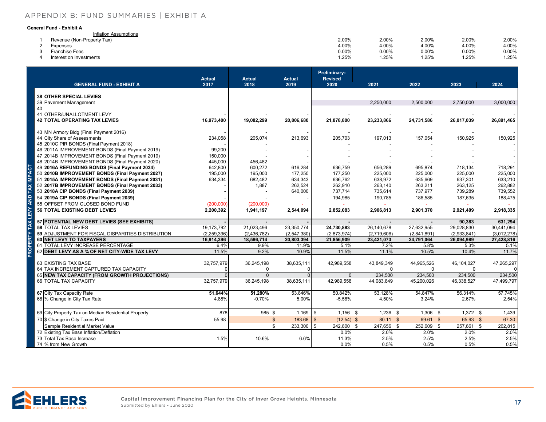#### [APPENDIX B: FUND SUMMARIES | EXHIBIT A](#page-1-0) **Capital Improvement Plan Financing Plan**

#### **General Fund - Exhibit A**

| Inflation Assumptions      |       |          |       |       |          |
|----------------------------|-------|----------|-------|-------|----------|
| Revenue (Non-Property Tax) | 2.00% | 2.00%    | 2.00% | 2.00% | 2.00%    |
| Expenses                   | 4.00% | 4.00%    | 4.00% | 4.00% | 4.00%    |
| <b>Franchise Fees</b>      | 0.00% | $0.00\%$ | 0.00% | 0.00% | $0.00\%$ |
| Interest on Investments    | 1.25% | 1.25%    | 1.25% | .25%  | 1.25%    |

|                                                                         |                        |                       |                        | Preliminary-           |                        |                        |                        |                        |
|-------------------------------------------------------------------------|------------------------|-----------------------|------------------------|------------------------|------------------------|------------------------|------------------------|------------------------|
| <b>GENERAL FUND - EXHIBIT A</b>                                         | <b>Actual</b><br>2017  | <b>Actual</b><br>2018 | <b>Actual</b><br>2019  | <b>Revised</b><br>2020 | 2021                   | 2022                   | 2023                   | 2024                   |
|                                                                         |                        |                       |                        |                        |                        |                        |                        |                        |
| <b>38 OTHER SPECIAL LEVIES</b>                                          |                        |                       |                        |                        |                        |                        |                        |                        |
| 39 Pavement Management<br>40                                            |                        |                       |                        |                        | 2,250,000              | 2,500,000              | 2,750,000              | 3,000,000              |
| 41 OTHER/UNALLOTMENT LEVY                                               |                        |                       |                        |                        |                        |                        |                        |                        |
| <b>42 TOTAL OPERATING TAX LEVIES</b>                                    | 16,973,400             | 19,082,299            | 20,806,680             | 21,878,800             | 23,233,866             | 24,731,586             | 26,017,039             | 26,891,465             |
|                                                                         |                        |                       |                        |                        |                        |                        |                        |                        |
| 43 MN Armory Bldg (Final Payment 2016)                                  |                        |                       |                        |                        |                        |                        |                        |                        |
| 44 City Share of Assessments<br>45 2010C PIR BONDS (Final Payment 2018) | 234,058                | 205,074               | 213,693                | 205,703                | 197,013                | 157,054                | 150,925                | 150,925                |
| 46 2011A IMPROVEMENT BONDS (Final Payment 2019)                         | 99,200                 |                       |                        |                        |                        |                        |                        |                        |
| 47 2014B IMPROVEMENT BONDS (Final Payment 2019)                         | 150,000                |                       |                        |                        |                        |                        |                        |                        |
| 48 2014B IMPROVEMENT BONDS (Final Payment 2020)                         | 445,000                | 456,482               |                        |                        |                        |                        |                        |                        |
| 49 2016A REFUNDING BONDS (Final Payment 2034)                           | 642,800                | 600,272               | 616,284                | 636,759                | 656,289                | 695,874                | 718,134                | 718,291                |
| 50 2010B IMPROVEMENT BONDS (Final Payment 2027)                         | 195,000                | 195,000               | 177,250                | 177,250                | 225,000                | 225,000                | 225,000                | 225,000                |
| 51 2015A IMPROVEMENT BONDS (Final Payment 2031)                         | 634,334                | 682,482               | 634,343                | 636,762                | 638,972                | 635,669                | 637,301                | 633,210                |
| 52 2017B IMPROVEMENT BONDS (Final Payment 2033)                         |                        | 1,887                 | 262,524                | 262,910                | 263,140                | 263,211                | 263,125                | 262,882                |
| 53 2018A CIP BONDS (Final Payment 2039)                                 |                        |                       | 640,000                | 737,714                | 735,614                | 737,977                | 739,289                | 739,552                |
| 54 2019A CIP BONDS (Final Payment 2039)                                 |                        |                       |                        | 194,985                | 190,785                | 186,585                | 187,635                | 188,475                |
| 55 OFFSET FROM CLOSED BOND FUND                                         | (200,000)              | (200,000)             |                        |                        |                        |                        |                        |                        |
| <b>56 TOTAL EXISTING DEBT LEVIES</b>                                    | 2,200,392              | 1,941,197             | 2,544,094              | 2,852,083              | 2,906,813              | 2,901,370              | 2,921,409              | 2,918,335              |
| 57 POTENTIAL NEW DEBT LEVIES (SEE EXHIBITS)                             |                        |                       |                        |                        | $\blacksquare$         |                        | 90,383                 | 631,294                |
| <b>58 TOTAL TAX LEVIES</b>                                              | 19.173.792             | 21.023.496            | 23.350.774             | 24,730,883             | 26.140.678             | 27.632.955             | 29,028,830             | 30.441.094             |
| 59 ADJUSTMENT FOR FISCAL DISPARITIES DISTRIBUTION                       | (2, 259, 396)          | (2,436,782)           | (2,547,380)            | (2,873,974)            | (2,719,606)            | (2,841,891)            | (2,933,841)            | (3,012,278)            |
| 60 NET LEVY TO TAXPAYERS                                                | 16,914,396             | 18,586,714            | 20,803,394             | 21,856,909             | 23,421,073             | 24,791,064             | 26,094,989             | 27,428,816             |
| 61 TOTAL LEVY INCREASE PERCENTAGE                                       | 6.4%                   | 9.9%                  | 11.9%                  | 5.1%                   | 7.2%                   | 5.8%                   | 5.3%                   | 5.1%                   |
| 62 DEBT LEVY AS A % OF NET CITY-WIDE TAX LEVY                           | 11.5%                  | 9.2%                  | 10.9%                  | 11.5%                  | 11.1%                  | 10.5%                  | 10.4%                  | 11.7%                  |
|                                                                         |                        |                       |                        |                        |                        |                        |                        |                        |
| 63 EXISTING TAX BASE<br>64 TAX INCREMENT CAPTURED TAX CAPACITY          | 32,757,979<br>$\Omega$ | 36,245,198            | 38,635,111<br>$\Omega$ | 42,989,558             | 43,849,349<br>$\Omega$ | 44,965,526<br>$\Omega$ | 46,104,027<br>$\Omega$ | 47,265,297<br>$\Omega$ |
| 65 NEW TAX CAPACITY (FROM GROWTH PROJECTIONS)                           | $\mathbf{0}$           | $\Omega$              | $\Omega$               | $\Omega$               | 234,500                | 234,500                | 234,500                | 234,500                |
| 66 TOTAL TAX CAPACITY                                                   | 32,757,979             | 36,245,198            | 38,635,111             | 42,989,558             | 44,083,849             | 45,200,026             | 46,338,527             | 47.499.797             |
|                                                                         |                        |                       |                        |                        |                        |                        |                        |                        |
| 67 City Tax Capacity Rate                                               | 51.644%                | 51.280%               | 53.846%                | 50.842%                | 53.128%                | 54.847%                | 56.314%                | 57.745%                |
| 68 % Change in City Tax Rate                                            | 4.88%                  | $-0.70%$              | 5.00%                  | $-5.58%$               | 4.50%                  | 3.24%                  | 2.67%                  | 2.54%                  |
|                                                                         |                        |                       |                        |                        |                        |                        |                        |                        |
| 69 City Property Tax on Median Residential Property                     | 878                    | 985 \$                | $1,169$ \$             | $1.156$ \$             | $1,236$ \$             | $1,306$ \$             | $1,372$ \$             | 1,439                  |
| 70 \$ Change in City Taxes Paid                                         | 55.98                  |                       | $183.68$ \$<br>\$      | $(12.54)$ \$           | 80.11 \$               | 69.61 \$               | 65.93 \$               | 67.30                  |
| Sample Residential Market Value                                         |                        |                       | $233,300$ \$<br>\$     | 242,800 \$             | 247,656 \$             | 252,609 \$             | 257,661 \$             | 262,815                |
| 72 Existing Tax Base Inflation/Deflation                                |                        |                       |                        | 0.0%                   | 2.0%                   | 2.0%                   | 2.0%                   | 2.0%                   |
| 73 Total Tax Base Increase                                              | 1.5%                   | 10.6%                 | 6.6%                   | 11.3%                  | 2.5%                   | 2.5%                   | 2.5%                   | 2.5%                   |
| 74 % from New Growth                                                    |                        |                       |                        | 0.0%                   | 0.5%                   | 0.5%                   | 0.5%                   | 0.5%                   |

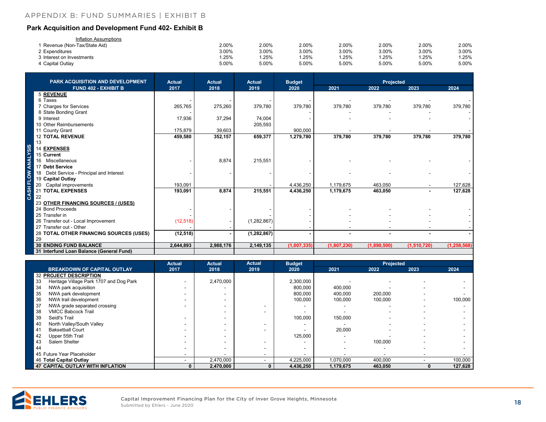#### <span id="page-17-0"></span>**CITY OF INVER GROVE HEIGHTS, MINNESOTA Capital Improvement Plan Financing Plan** [APPENDIX B: FUND SUMMARIES | EXHIBIT B](#page-1-0)

#### **Park Acquisition and Development Fund 402- Exhibit B**

| Inflation Assumptions         |       |       |       |       |       |       |       |
|-------------------------------|-------|-------|-------|-------|-------|-------|-------|
| 1 Revenue (Non-Tax/State Aid) | 2.00% | 2.00% | 2.00% | 2.00% | 2.00% | 2.00% | 2.00% |
| 2 Expenditures                | 3.00% | 3.00% | 3.00% | 3.00% | 3.00% | 3.00% | 3.00% |
| 3 Interest on Investments     | .25%  | .25%  | .25%  | .25%  | .25%  | 25%   | .25%  |
| 4 Capital Outlay              | 5.00% | 5.00% | 5.00% | 5.00% | 5.00% | 5.00% | 5.00% |

| <b>PARK ACQUISITION AND DEVELOPMENT</b>     | <b>Actual</b> | <b>Actual</b> | <b>Actual</b> | <b>Budget</b> |             | Projected   |                |               |
|---------------------------------------------|---------------|---------------|---------------|---------------|-------------|-------------|----------------|---------------|
| <b>FUND 402 - EXHIBIT B</b>                 | 2017          | 2018          | 2019          | 2020          | 2021        | 2022        | 2023           | 2024          |
| <b>5 REVENUE</b>                            |               |               |               |               |             |             |                |               |
| 6 Taxes                                     |               |               |               |               |             |             |                |               |
| 7 Charges for Services                      | 265,765       | 275,260       | 379,780       | 379,780       | 379,780     | 379,780     | 379,780        | 379,780       |
| 8 State Bonding Grant                       |               |               |               |               |             |             |                |               |
| 9 Interest                                  | 17,936        | 37,294        | 74,004        |               |             |             |                |               |
| 10 Other Reimbursements                     |               |               | 205,593       |               |             |             |                |               |
| 11 County Grant                             | 175,879       | 39,603        |               | 900,000       |             |             |                |               |
| <b>12 TOTAL REVENUE</b>                     | 459,580       | 352,157       | 659,377       | 1,279,780     | 379,780     | 379,780     | 379,780        | 379,780       |
| 13                                          |               |               |               |               |             |             |                |               |
| 14 EXPENSES                                 |               |               |               |               |             |             |                |               |
| 15 Current                                  |               |               |               |               |             |             |                |               |
| 16<br>Miscellaneous                         |               | 8,874         | 215,551       |               |             |             |                |               |
| 17 Debt Service                             |               |               |               |               |             |             |                |               |
| Debt Service - Principal and Interest<br>18 |               |               |               |               |             |             |                |               |
| 19 Capital Outlay                           |               |               |               |               |             |             |                |               |
| Capital improvements<br>20                  | 193,091       |               |               | 4,436,250     | 1,179,675   | 463,050     |                | 127,628       |
| 21 TOTAL EXPENSES                           | 193.091       | 8,874         | 215,551       | 4,436,250     | 1,179,675   | 463,050     | $\blacksquare$ | 127,628       |
| 22                                          |               |               |               |               |             |             |                |               |
| 23 OTHER FINANCING SOURCES / (USES)         |               |               |               |               |             |             |                |               |
| 24 Bond Proceeds                            |               |               |               |               |             |             |                |               |
| 25 Transfer in                              |               |               |               |               |             |             |                |               |
| 26 Transfer out - Local Improvement         | (12, 518)     |               | (1,282,867)   |               |             |             |                |               |
| 27 Transfer out - Other                     |               |               |               |               |             |             |                |               |
| 28 TOTAL OTHER FINANCING SOURCES (USES)     | (12, 518)     |               | (1, 282, 867) |               |             |             |                |               |
| 29                                          |               |               |               |               |             |             |                |               |
| <b>30 ENDING FUND BALANCE</b>               | 2,644,893     | 2,988,176     | 2,149,135     | (1,007,335)   | (1,807,230) | (1,890,500) | (1,510,720)    | (1, 258, 568) |
| 31 Interfund Loan Balance (General Fund)    |               |               |               |               |             |             |                |               |

|     |                                         | <b>Actual</b> | <b>Actual</b> | <b>Actual</b> | <b>Budget</b> |           | <b>Projected</b> |      |         |
|-----|-----------------------------------------|---------------|---------------|---------------|---------------|-----------|------------------|------|---------|
|     | <b>BREAKDOWN OF CAPITAL OUTLAY</b>      | 2017          | 2018          | 2019          | 2020          | 2021      | 2022             | 2023 | 2024    |
|     | <b>32 PROJECT DESCRIPTION</b>           |               |               |               |               |           |                  |      |         |
| -33 | Heritage Village Park 1707 and Dog Park |               | 2,470,000     |               | 2,300,000     |           |                  |      |         |
| 34  | NWA park acquisition                    |               |               |               | 800,000       | 400,000   |                  |      |         |
| 35  | NWA park development                    |               |               |               | 800,000       | 400,000   | 200,000          |      |         |
| 36  | NWA trail development                   |               |               |               | 100,000       | 100,000   | 100,000          |      | 100,000 |
| 37  | NWA grade separated crossing            |               |               |               |               |           |                  |      |         |
| 38  | <b>VMCC Babcock Trail</b>               |               |               |               |               |           |                  |      |         |
| 39  | Seidl's Trail                           |               |               |               | 100,000       | 150.000   |                  |      |         |
| 40  | North Valley/South Valley               |               |               |               |               |           |                  |      |         |
| 41  | <b>Baksetball Court</b>                 |               |               |               |               | 20,000    |                  |      |         |
| 42  | Upper 55th Trail                        |               |               |               | 125,000       |           |                  |      |         |
| 43  | Salem Shelter                           |               |               |               |               |           | 100,000          |      |         |
| 44  |                                         |               |               |               | $\sim$        |           |                  |      |         |
|     | 45 Future Year Placeholder              |               |               |               |               |           |                  |      |         |
|     | 46 Total Capital Outlay                 |               | 2,470,000     |               | 4,225,000     | 1,070,000 | 400,000          |      | 100,000 |
|     | 47 CAPITAL OUTLAY WITH INFLATION        | 0             | 2,470,000     | $\mathbf{0}$  | 4,436,250     | 1,179,675 | 463,050          |      | 127,628 |

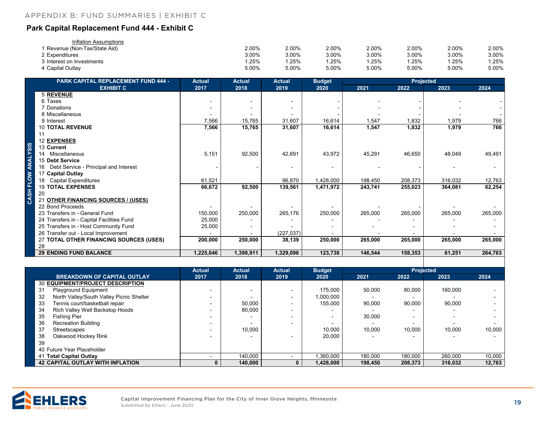#### <span id="page-18-0"></span>**Park Capital Replacement Fund 444 - Exhibit C**

| Inflation Assumptions       |       |       |       |       |       |       |       |
|-----------------------------|-------|-------|-------|-------|-------|-------|-------|
| Revenue (Non-Tax/State Aid) | 2.00% | 2.00% | 2.00% | 2.00% | 2.00% | 2.00% | 2.00% |
| 2 Expenditures              | 3.00% | 3.00% | 3.00% | 3.00% | 3.00% | 3.00% | 3.00% |
| 3 Interest on Investments   | .25%  | .25%  | .25%  | .25%  | .25%  | .25%  | .25%  |
| 4 Capital Outlay            | 5.00% | 5.00% | 5.00% | 5.00% | 5.00% | 5.00% | 5.00% |

| <b>PARK CAPITAL REPLACEMENT FUND 444 -</b>  | <b>Actual</b> | <b>Actual</b> | <b>Actual</b> | <b>Budget</b> |         | <b>Projected</b> |         |         |
|---------------------------------------------|---------------|---------------|---------------|---------------|---------|------------------|---------|---------|
| <b>EXHIBIT C</b>                            | 2017          | 2018          | 2019          | 2020          | 2021    | 2022             | 2023    | 2024    |
| <b>5 REVENUE</b>                            |               |               |               |               |         |                  |         |         |
| 6 Taxes                                     |               |               |               |               |         |                  |         |         |
| 7 Donations                                 |               |               |               |               |         |                  |         |         |
| 8 Miscellaneous                             |               |               |               |               |         |                  |         |         |
| 9 Interest                                  | 7,566         | 15,765        | 31,607        | 16,614        | 1,547   | 1,832            | 1,979   | 766     |
| <b>10 TOTAL REVENUE</b>                     | 7,566         | 15,765        | 31,607        | 16,614        | 1,547   | 1,832            | 1,979   | 766     |
| 11                                          |               |               |               |               |         |                  |         |         |
| 12 EXPENSES                                 |               |               |               |               |         |                  |         |         |
| 13 Current                                  |               |               |               |               |         |                  |         |         |
| Miscellaneous<br>14                         | 5,151         | 92,500        | 42,691        | 43,972        | 45,291  | 46,650           | 48,049  | 49,491  |
| 15 Debt Service                             |               |               |               |               |         |                  |         |         |
| Debt Service - Principal and Interest<br>16 |               |               |               |               |         |                  |         |         |
| 17 Capital Outlay                           |               |               |               |               |         |                  |         |         |
| <b>Capital Expenditures</b><br>18           | 61,521        |               | 96,870        | 1,428,000     | 198,450 | 208,373          | 316,032 | 12,763  |
| <b>19 TOTAL EXPENSES</b>                    | 66,672        | 92,500        | 139,561       | 1,471,972     | 243,741 | 255,023          | 364,081 | 62,254  |
| 20                                          |               |               |               |               |         |                  |         |         |
| 21 OTHER FINANCING SOURCES / (USES)         |               |               |               |               |         |                  |         |         |
| 22 Bond Proceeds                            |               |               |               |               |         |                  |         |         |
| 23 Transfers in - General Fund              | 150,000       | 250,000       | 265,176       | 250,000       | 265,000 | 265,000          | 265,000 | 265,000 |
| 24 Transfers in - Capital Facilities Fund   | 25,000        |               |               |               |         |                  |         |         |
| 25 Transfers in - Host Community Fund       | 25,000        |               |               |               |         |                  |         |         |
| 26 Transfer out - Local Improvement         |               |               | (227, 037)    |               |         |                  |         |         |
| 27 TOTAL OTHER FINANCING SOURCES (USES)     | 200,000       | 250,000       | 38,139        | 250,000       | 265,000 | 265,000          | 265,000 | 265,000 |
| 28                                          |               |               |               |               |         |                  |         |         |
| <b>29 ENDING FUND BALANCE</b>               | 1,225,646     | 1,398,911     | 1,329,096     | 123,738       | 146,544 | 158,353          | 61,251  | 264,763 |

|                                                | <b>Actual</b>            | <b>Actual</b> | <b>Actual</b> | <b>Budget</b> |         | <b>Projected</b>         |         |        |
|------------------------------------------------|--------------------------|---------------|---------------|---------------|---------|--------------------------|---------|--------|
| <b>BREAKDOWN OF CAPITAL OUTLAY</b>             | 2017                     | 2018          | 2019          | 2020          | 2021    | 2022                     | 2023    | 2024   |
| 30 EQUIPMENT/PROJECT DESCRIPTION               |                          |               |               |               |         |                          |         |        |
| <b>Playground Equipment</b><br>31              |                          |               |               | 175.000       | 50,000  | 80.000                   | 160,000 |        |
| North Valley/South Valley Picnic Shelter<br>32 |                          |               |               | 1,000,000     |         |                          |         |        |
| 33<br>Tennis court/basketball repair           |                          | 50,000        |               | 155.000       | 90,000  | 90,000                   | 90,000  |        |
| Rich Valley Well Backstop Hoods<br>34          |                          | 80,000        |               |               |         |                          |         |        |
| 35<br><b>Fishing Pier</b>                      | $\overline{\phantom{0}}$ |               |               |               | 30,000  | $\overline{\phantom{0}}$ |         |        |
| 36<br><b>Recreation Building</b>               |                          |               |               |               |         |                          |         |        |
| 37<br>Streetscapes                             |                          | 10,000        |               | 10.000        | 10.000  | 10.000                   | 10,000  | 10.000 |
| 38<br>Oakwood Hockey Rink                      |                          |               |               | 20.000        |         |                          |         |        |
| 39                                             |                          |               |               |               |         |                          |         |        |
| 40 Future Year Placeholder                     |                          |               |               |               |         |                          |         |        |
| 41 Total Capital Outlay                        |                          | 140.000       |               | .360.000      | 180,000 | 180.000                  | 260,000 | 10,000 |
| <b>42 CAPITAL OUTLAY WITH INFLATION</b>        |                          | 140.000       |               | 1,428,000     | 198,450 | 208,373                  | 316,032 | 12,763 |



**IVINV VIV**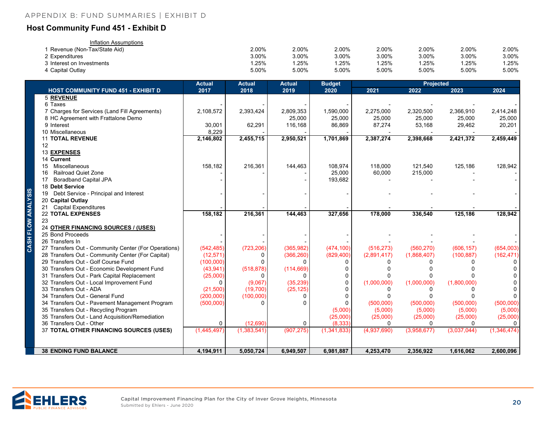#### <span id="page-19-0"></span>**Host Community Fund 451 - Exhibit D**

| Inflation Assumptions       |       |       |          |       |       |       |       |
|-----------------------------|-------|-------|----------|-------|-------|-------|-------|
| Revenue (Non-Tax/State Aid) | 2.00% | 2.00% | $2.00\%$ | 2.00% | 2.00% | 2.00% | 2.00% |
| 2 Expenditures              | 3.00% | 3.00% | 3.00%    | 3.00% | 3.00% | 3.00% | 3.00% |
| lnterest on Investments ،   | .25%  | .25%  | .25%     | .25%  | 1.25% | .25%  | .25%  |
| 4 Capital Outlay            | 5.00% | 5.00% | 5.00%    | 5.00% | 5.00% | 5.00% | 5.00% |

|                    |                                                      | <b>Actual</b> | <b>Actual</b> | <b>Actual</b> | <b>Budget</b> |             | Projected   |             |             |
|--------------------|------------------------------------------------------|---------------|---------------|---------------|---------------|-------------|-------------|-------------|-------------|
|                    | <b>HOST COMMUNITY FUND 451 - EXHIBIT D</b>           | 2017          | 2018          | 2019          | 2020          | 2021        | 2022        | 2023        | 2024        |
|                    | <b>5 REVENUE</b>                                     |               |               |               |               |             |             |             |             |
|                    | 6 Taxes                                              |               |               |               |               |             |             |             |             |
|                    | 7 Charges for Services (Land Fill Agreements)        | 2,108,572     | 2,393,424     | 2,809,353     | 1,590,000     | 2,275,000   | 2,320,500   | 2,366,910   | 2,414,248   |
|                    | 8 HC Agreement with Frattalone Demo                  |               |               | 25,000        | 25,000        | 25,000      | 25,000      | 25,000      | 25,000      |
|                    | 9 Interest                                           | 30,001        | 62,291        | 116,168       | 86,869        | 87,274      | 53,168      | 29,462      | 20,201      |
|                    | 10 Miscellaneous                                     | 8,229         |               |               |               |             |             |             |             |
|                    | <b>11 TOTAL REVENUE</b>                              | 2,146,802     | 2,455,715     | 2,950,521     | 1,701,869     | 2,387,274   | 2,398,668   | 2,421,372   | 2,459,449   |
|                    | 12                                                   |               |               |               |               |             |             |             |             |
|                    | 13 EXPENSES                                          |               |               |               |               |             |             |             |             |
|                    | 14 Current                                           |               |               |               |               |             |             |             |             |
|                    | Miscellaneous<br>15                                  | 158,182       | 216,361       | 144,463       | 108,974       | 118,000     | 121,540     | 125,186     | 128,942     |
|                    | <b>Railroad Quiet Zone</b><br>16                     |               |               |               | 25,000        | 60,000      | 215,000     |             |             |
|                    | <b>Boradband Capital JPA</b><br>17                   |               |               |               | 193,682       |             |             |             |             |
|                    | 18 Debt Service                                      |               |               |               |               |             |             |             |             |
|                    | Debt Service - Principal and Interest<br>19          |               |               |               |               |             |             |             |             |
|                    | 20 Capital Outlay                                    |               |               |               |               |             |             |             |             |
|                    | 21 Capital Expenditures                              |               |               |               |               |             |             |             |             |
|                    | <b>22 TOTAL EXPENSES</b>                             | 158,182       | 216,361       | 144,463       | 327,656       | 178,000     | 336,540     | 125,186     | 128,942     |
| CASH FLOW ANALYSIS | 23                                                   |               |               |               |               |             |             |             |             |
|                    | 24 OTHER FINANCING SOURCES / (USES)                  |               |               |               |               |             |             |             |             |
|                    | 25 Bond Proceeds                                     |               |               |               |               |             |             |             |             |
|                    | 26 Transfers In                                      |               |               |               |               |             |             |             |             |
|                    | 27 Transfers Out - Community Center (For Operations) | (542, 485)    | (723, 206)    | (365, 982)    | (474, 100)    | (516, 273)  | (560, 270)  | (606, 157)  | (654,003)   |
|                    | 28 Transfers Out - Community Center (For Capital)    | (12, 571)     | 0             | (366, 260)    | (829, 400)    | (2,891,417) | (1,868,407) | (100, 887)  | (162, 471)  |
|                    | 29 Transfers Out - Golf Course Fund                  | (100,000)     | $\Omega$      | <sup>0</sup>  | $\Omega$      | n           |             |             | 0           |
|                    | 30 Transfers Out - Economic Development Fund         | (43, 941)     | (518, 878)    | (114, 669)    | 0             |             |             |             |             |
|                    | 31 Transfers Out - Park Capital Replacement          | (25,000)      | 0             | 0             |               |             |             |             |             |
|                    | 32 Transfers Out - Local Improvement Fund            | $\Omega$      | (9,067)       | (35, 239)     | $\Omega$      | (1,000,000) | (1,000,000) | (1,800,000) | 0           |
|                    | 33 Transfers Out - ADA                               | (21,500)      | (19,700)      | (25, 125)     |               | U           | 0           |             | 0           |
|                    | 34 Transfers Out - General Fund                      | (200,000)     | (100,000)     | 0             | $\Omega$      |             | U           |             | 0           |
|                    | 34 Transfers Out - Pavement Management Program       | (500,000)     | 0             | <sup>0</sup>  | 0             | (500,000)   | (500,000)   | (500,000)   | (500,000)   |
|                    | 35 Transfers Out - Recycling Program                 |               |               |               | (5,000)       | (5,000)     | (5,000)     | (5,000)     | (5,000)     |
|                    | 35 Transfers Out - Land Acquisition/Remediation      |               |               |               | (25,000)      | (25,000)    | (25,000)    | (25,000)    | (25,000)    |
|                    | 36 Transfers Out - Other                             | $\Omega$      | (12, 690)     | $\mathbf 0$   | (8, 333)      | $\Omega$    | $\Omega$    | $\Omega$    | 0           |
|                    | 37 TOTAL OTHER FINANCING SOURCES (USES)              | (1,445,497)   | (1, 383, 541) | (907, 275)    | (1, 341, 833) | (4,937,690) | (3,958,677) | (3,037,044) | (1,346,474) |
|                    |                                                      |               |               |               |               |             |             |             |             |
|                    | <b>38 ENDING FUND BALANCE</b>                        | 4,194,911     | 5,050,724     | 6,949,507     | 6,981,887     | 4,253,470   | 2,356,922   | 1,616,062   | 2,600,096   |

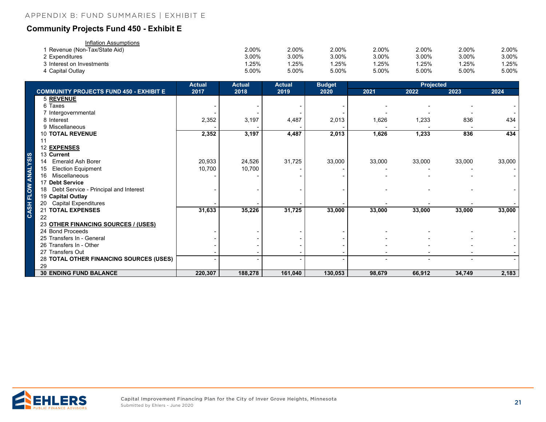### <span id="page-20-0"></span>**Community Projects Fund 450 - Exhibit E**

| Inflation Assumptions       |       |          |       |       |       |       |       |
|-----------------------------|-------|----------|-------|-------|-------|-------|-------|
| Revenue (Non-Tax/State Aid) | 2.00% | $2.00\%$ | 2.00% | 2.00% | 2.00% | 2.00% | 2.00% |
| 2 Expenditures              | 3.00% | 3.00%    | 3.00% | 3.00% | 3.00% | 3.00% | 3.00% |
| 3 Interest on Investments   | .25%  | .25%     | .25%  | .25%  | .25%  | .25%  | .25%  |
| 4 Capital Outlay            | 5.00% | 5.00%    | 5.00% | 5.00% | 5.00% | 5.00% | 5.00% |

|                                                | <b>Actual</b> | <b>Actual</b> | <b>Actual</b> | <b>Budget</b> |        | <b>Projected</b> |        |        |  |
|------------------------------------------------|---------------|---------------|---------------|---------------|--------|------------------|--------|--------|--|
| <b>COMMUNITY PROJECTS FUND 450 - EXHIBIT E</b> | 2017          | 2018          | 2019          | 2020          | 2021   | 2022             | 2023   | 2024   |  |
| <b>5 REVENUE</b>                               |               |               |               |               |        |                  |        |        |  |
| 6 Taxes                                        |               |               |               |               |        |                  |        |        |  |
| 7 Intergovernmental                            |               |               |               |               |        |                  |        |        |  |
| 8 Interest                                     | 2,352         | 3,197         | 4,487         | 2,013         | 1,626  | 1,233            | 836    | 434    |  |
| 9 Miscellaneous                                |               |               |               |               |        |                  |        |        |  |
| <b>10 TOTAL REVENUE</b>                        | 2,352         | 3,197         | 4,487         | 2,013         | 1,626  | 1,233            | 836    | 434    |  |
| 11                                             |               |               |               |               |        |                  |        |        |  |
| 12 EXPENSES                                    |               |               |               |               |        |                  |        |        |  |
| 13 Current                                     |               |               |               |               |        |                  |        |        |  |
| 14 Emerald Ash Borer                           | 20,933        | 24,526        | 31,725        | 33,000        | 33,000 | 33,000           | 33,000 | 33,000 |  |
| <b>Election Equipment</b><br>15                | 10,700        | 10,700        |               |               |        |                  |        |        |  |
| Miscellaneous<br>16                            |               |               |               |               |        |                  |        |        |  |
| 17 Debt Service                                |               |               |               |               |        |                  |        |        |  |
| 18 Debt Service - Principal and Interest       |               |               |               |               |        |                  |        |        |  |
| 19 Capital Outlay                              |               |               |               |               |        |                  |        |        |  |
| 20 Capital Expenditures                        |               |               |               |               |        |                  |        |        |  |
| 21 TOTAL EXPENSES                              | 31,633        | 35,226        | 31,725        | 33,000        | 33,000 | 33,000           | 33,000 | 33,000 |  |
| 22                                             |               |               |               |               |        |                  |        |        |  |
| 23 OTHER FINANCING SOURCES / (USES)            |               |               |               |               |        |                  |        |        |  |
| 24 Bond Proceeds                               |               |               |               |               |        |                  |        |        |  |
| 25 Transfers In - General                      |               |               |               |               |        |                  |        |        |  |
| 26 Transfers In - Other                        |               |               |               |               |        |                  |        |        |  |
| 27 Transfers Out                               |               |               |               |               |        |                  |        |        |  |
| 28 TOTAL OTHER FINANCING SOURCES (USES)        |               |               |               |               |        |                  |        |        |  |
| 29                                             |               |               |               |               |        |                  |        |        |  |
| <b>30 ENDING FUND BALANCE</b>                  | 220,307       | 188,278       | 161,040       | 130,053       | 98,679 | 66,912           | 34,749 | 2,183  |  |

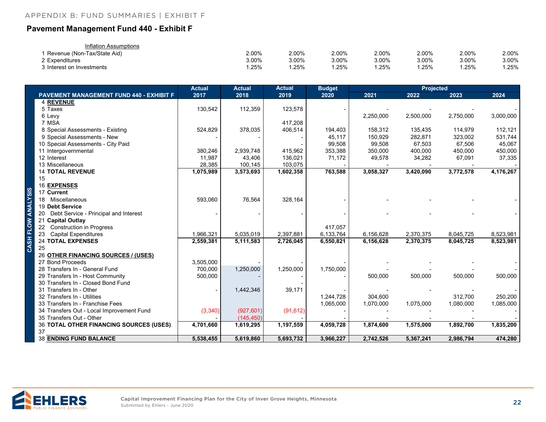#### <span id="page-21-0"></span>**Pavement Management Fund 440 - Exhibit F**

| Inflation Assumptions       |       |          |       |       |       |       |       |
|-----------------------------|-------|----------|-------|-------|-------|-------|-------|
| Revenue (Non-Tax/State Aid) | 2.00% | 2.00%    | 2.00% | 2.00% | 2.00% | 2.00% | 2.00% |
| 2 Expenditures              | 3.00% | $3.00\%$ | 3.00% | 3.00% | 3.00% | 3.00% | 3.00% |
| 3 Interest on Investments   | .25%  | .25%     | .25%  | .25%  | .25%  | .25%  | .25%  |

|                                                | <b>Actual</b> | <b>Actual</b> | <b>Actual</b> | <b>Budget</b> |           |           |           |           |
|------------------------------------------------|---------------|---------------|---------------|---------------|-----------|-----------|-----------|-----------|
| PAVEMENT MANAGEMENT FUND 440 - EXHIBIT F       | 2017          | 2018          | 2019          | 2020          | 2021      | 2022      | 2023      | 2024      |
| 4 REVENUE                                      |               |               |               |               |           |           |           |           |
| 5 Taxes                                        | 130,542       | 112,359       | 123,578       |               |           |           |           |           |
| 6 Levy                                         |               |               |               |               | 2,250,000 | 2,500,000 | 2,750,000 | 3,000,000 |
| 7 MSA                                          |               |               | 417,208       |               |           |           |           |           |
| 8 Special Assessments - Existing               | 524,829       | 378,035       | 406,514       | 194,403       | 158,312   | 135,435   | 114,979   | 112,121   |
| 9 Special Assessments - New                    |               |               |               | 45,117        | 150,929   | 282,871   | 323,002   | 531,744   |
| 10 Special Assessments - City Paid             |               |               |               | 99,508        | 99,508    | 67,503    | 67,506    | 45,067    |
| 11 Intergovernmental                           | 380,246       | 2,939,748     | 415,962       | 353,388       | 350,000   | 400,000   | 450,000   | 450,000   |
| 12 Interest                                    | 11,987        | 43,406        | 136,021       | 71,172        | 49,578    | 34,282    | 67,091    | 37,335    |
| 13 Miscellaneous                               | 28,385        | 100,145       | 103,075       |               |           |           |           |           |
| <b>14 TOTAL REVENUE</b>                        | 1,075,989     | 3,573,693     | 1,602,358     | 763,588       | 3,058,327 | 3,420,090 | 3,772,578 | 4,176,267 |
| 15                                             |               |               |               |               |           |           |           |           |
| <b>16 EXPENSES</b>                             |               |               |               |               |           |           |           |           |
| 17 Current                                     |               |               |               |               |           |           |           |           |
| 18 Miscellaneous                               | 593,060       | 76,564        | 328,164       |               |           |           |           |           |
| 19 Debt Service                                |               |               |               |               |           |           |           |           |
| Debt Service - Principal and Interest<br>20    |               |               |               |               |           |           |           |           |
| 21 Capital Outlay                              |               |               |               |               |           |           |           |           |
| 22 Construction in Progress                    |               |               |               | 417,057       |           |           |           |           |
| <b>Capital Expenditures</b><br>23              | 1,966,321     | 5,035,019     | 2,397,881     | 6,133,764     | 6,156,628 | 2,370,375 | 8,045,725 | 8,523,981 |
| <b>24 TOTAL EXPENSES</b>                       | 2,559,381     | 5,111,583     | 2,726,045     | 6,550,821     | 6,156,628 | 2,370,375 | 8,045,725 | 8,523,981 |
| 25                                             |               |               |               |               |           |           |           |           |
| 26 OTHER FINANCING SOURCES / (USES)            |               |               |               |               |           |           |           |           |
| 27 Bond Proceeds                               | 3,505,000     |               |               |               |           |           |           |           |
| 28 Transfers In - General Fund                 | 700,000       | 1,250,000     | 1,250,000     | 1,750,000     |           |           |           |           |
| 29 Transfers In - Host Community               | 500,000       |               |               |               | 500,000   | 500,000   | 500,000   | 500,000   |
| 30 Transfers In - Closed Bond Fund             |               |               |               |               |           |           |           |           |
| 31 Transfers In - Other                        |               | 1,442,346     | 39,171        |               |           |           |           |           |
| 32 Transfers In - Utilities                    |               |               |               | 1,244,728     | 304,600   |           | 312,700   | 250,200   |
| 33 Transfers In - Franchise Fees               |               |               |               | 1,065,000     | 1,070,000 | 1,075,000 | 1,080,000 | 1,085,000 |
| 34 Transfers Out - Local Improvement Fund      | (3, 340)      | (927, 601)    | (91, 612)     |               |           |           |           |           |
| 35 Transfers Out - Other                       |               | (145, 450)    |               |               |           |           |           |           |
| <b>36 TOTAL OTHER FINANCING SOURCES (USES)</b> | 4,701,660     | 1,619,295     | 1,197,559     | 4,059,728     | 1,874,600 | 1,575,000 | 1,892,700 | 1,835,200 |
| 37                                             |               |               |               |               |           |           |           |           |
| <b>38 ENDING FUND BALANCE</b>                  | 5,538,455     | 5,619,860     | 5,693,732     | 3,966,227     | 2,742,526 | 5,367,241 | 2,986,794 | 474,280   |

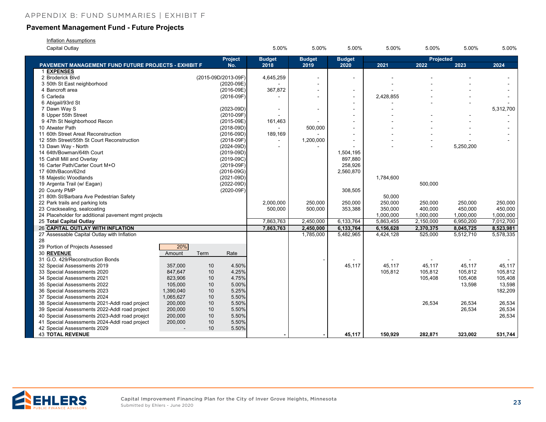#### **Pavement Management Fund - Future Projects**

#### **Inflation Assumptions**

| Capital Outlay                                              |           |      |                     | 5.00%         | 5.00%         | 5.00%         | 5.00%     | 5.00%            | 5.00%     | 5.00%     |
|-------------------------------------------------------------|-----------|------|---------------------|---------------|---------------|---------------|-----------|------------------|-----------|-----------|
|                                                             |           |      | Project             | <b>Budget</b> | <b>Budget</b> | <b>Budget</b> |           | <b>Projected</b> |           |           |
| <b>PAVEMENT MANAGEMENT FUND FUTURE PROJECTS - EXHIBIT F</b> |           |      | No.                 | 2018          | 2019          | 2020          | 2021      | 2022             | 2023      | 2024      |
| 1 EXPENSES                                                  |           |      |                     |               |               |               |           |                  |           |           |
| 2 Broderick Blvd                                            |           |      | (2015-09D/2013-09F) | 4,645,259     |               |               |           |                  |           |           |
| 3 50th St East neighborhood                                 |           |      | (2020-09E)          |               |               |               |           |                  |           |           |
| 4 Bancroft area                                             |           |      | (2016-09E)          | 367,872       |               | $\sim$        |           |                  |           |           |
| 5 Carleda                                                   |           |      | $(2016-09F)$        |               |               |               | 2,428,855 |                  |           |           |
| 6 Abigail/93rd St                                           |           |      |                     |               |               |               |           |                  |           |           |
| 7 Dawn Way S                                                |           |      | $(2023 - 09D)$      |               |               |               |           |                  |           | 5,312,700 |
| 8 Upper 55th Street                                         |           |      | (2010-09F)          |               |               |               |           |                  |           |           |
| 9 47th St Neighborhood Recon                                |           |      | (2015-09E)          | 161,463       |               |               |           |                  |           |           |
| 10 Atwater Path                                             |           |      | $(2018 - 09D)$      |               | 500,000       |               |           |                  |           |           |
| 11 60th Street Areat Reconstruction                         |           |      | $(2016-09D)$        | 189,169       |               |               |           |                  |           |           |
| 12 55th Street/55th St Court Reconstruction                 |           |      | $(2018-09F)$        |               | 1,200,000     |               |           |                  |           |           |
| 13 Dawn Way - North                                         |           |      | $(2024-09D)$        |               |               |               |           |                  | 5,250,200 |           |
| 14 64th/Bowman/64th Court                                   |           |      | $(2019 - 09D)$      |               |               | 1,504,195     |           |                  |           |           |
| 15 Cahill Mill and Overlay                                  |           |      | $(2019-09C)$        |               |               | 897,880       |           |                  |           |           |
| 16 Carter Path/Carter Court M+O                             |           |      | $(2019-09F)$        |               |               | 258,926       |           |                  |           |           |
| 17 60th/Bacon/62nd                                          |           |      | $(2016-09G)$        |               |               | 2,560,870     |           |                  |           |           |
| 18 Majestic Woodlands                                       |           |      | $(2021 - 09D)$      |               |               |               | 1,784,600 |                  |           |           |
| 19 Argenta Trail (w/ Eagan)                                 |           |      | $(2022 - 09D)$      |               |               |               |           | 500,000          |           |           |
| 20 County PMP                                               |           |      | $(2020-09F)$        |               |               | 308,505       |           |                  |           |           |
| 21 80th St/Barbara Ave Pedestrian Safety                    |           |      |                     |               |               |               | 50,000    |                  |           |           |
| 22 Park trails and parking lots                             |           |      |                     | 2,000,000     | 250,000       | 250,000       | 250,000   | 250,000          | 250,000   | 250,000   |
| 23 Cracksealing, sealcoating                                |           |      |                     | 500,000       | 500,000       | 353,388       | 350,000   | 400,000          | 450,000   | 450,000   |
| 24 Placeholder for additional pavement mgmt projects        |           |      |                     |               |               |               | 1,000,000 | 1,000,000        | 1,000,000 | 1,000,000 |
| 25 Total Capital Outlay                                     |           |      |                     | 7,863,763     | 2,450,000     | 6,133,764     | 5,863,455 | 2,150,000        | 6,950,200 | 7,012,700 |
| 26 CAPITAL OUTLAY WITH INFLATION                            |           |      |                     | 7,863,763     | 2,450,000     | 6,133,764     | 6,156,628 | 2,370,375        | 8,045,725 | 8,523,981 |
| 27 Assessable Capital Outlay with Inflation                 |           |      |                     |               | 1,785,000     | 5,482,965     | 4,424,128 | 525,000          | 5,512,710 | 5,578,335 |
| 28                                                          |           |      |                     |               |               |               |           |                  |           |           |
| 29 Portion of Projects Assessed                             | 20%       |      |                     |               |               |               |           |                  |           |           |
| 30 REVENUE                                                  | Amount    | Term | Rate                |               |               |               |           |                  |           |           |
| 31 G.O. 429/Reconstruction Bonds                            |           |      |                     |               |               |               |           |                  |           |           |
| 32 Special Assessments 2019                                 | 357,000   | 10   | 4.50%               |               |               | 45,117        | 45,117    | 45,117           | 45,117    | 45,117    |
| 33 Special Assessments 2020                                 | 847,647   | 10   | 4.25%               |               |               |               | 105,812   | 105,812          | 105,812   | 105,812   |
| 34 Special Assessments 2021                                 | 823,906   | 10   | 4.75%               |               |               |               |           | 105,408          | 105,408   | 105,408   |
| 35 Special Assessments 2022                                 | 105,000   | 10   | 5.00%               |               |               |               |           |                  | 13,598    | 13,598    |
| 36 Special Assessments 2023                                 | 1,390,040 | 10   | 5.25%               |               |               |               |           |                  |           | 182,209   |
| 37 Special Assessments 2024                                 | 1,065,627 | 10   | 5.50%               |               |               |               |           |                  |           |           |
| 38 Special Assessments 2021-Addl road project               | 200,000   | 10   | 5.50%               |               |               |               |           | 26,534           | 26,534    | 26,534    |
| 39 Special Assessments 2022-Addl road project               | 200,000   | 10   | 5.50%               |               |               |               |           |                  | 26,534    | 26,534    |
| 40 Special Assessments 2023-Addl road proejct               | 200,000   | 10   | 5.50%               |               |               |               |           |                  |           | 26,534    |
| 41 Special Assessments 2024-Addl road project               | 200,000   | 10   | 5.50%               |               |               |               |           |                  |           |           |
| 42 Special Assessments 2029                                 |           | 10   | 5.50%               |               |               |               |           |                  |           |           |
| <b>43 TOTAL REVENUE</b>                                     |           |      |                     |               |               | 45,117        | 150,929   | 282,871          | 323,002   | 531,744   |

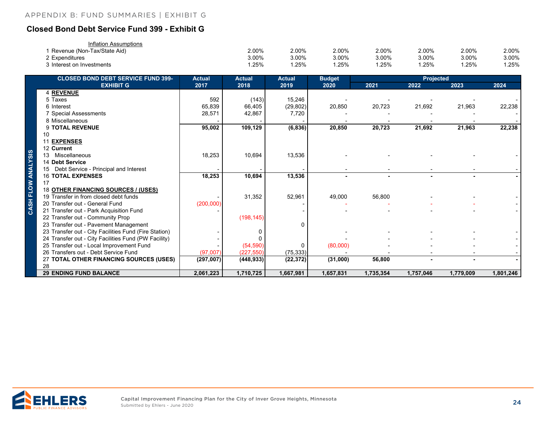### <span id="page-23-0"></span>**Closed Bond Debt Service Fund 399 - Exhibit G**

| Inflation Assumptions         |       |       |       |       |       |       |       |
|-------------------------------|-------|-------|-------|-------|-------|-------|-------|
| I Revenue (Non-Tax/State Aid) | 2.00% | 2.00% | 2.00% | 2.00% | 2.00% | 2.00% | 2.00% |
| 2 Expenditures                | 3.00% | 3.00% | 3.00% | 3.00% | 3.00% | 3.00% | 3.00% |
| 3 Interest on Investments     | .25%  | 25%   | .25%  | .25%  | .25%  | .25%  | .25%  |

| <b>CLOSED BOND DEBT SERVICE FUND 399-</b>             | <b>Actual</b> | <b>Actual</b> | <b>Actual</b> | <b>Budget</b> | <b>Projected</b> |           |           |           |
|-------------------------------------------------------|---------------|---------------|---------------|---------------|------------------|-----------|-----------|-----------|
| <b>EXHIBIT G</b>                                      | 2017          | 2018          | 2019          | 2020          | 2021             | 2022      | 2023      | 2024      |
| 4 REVENUE                                             |               |               |               |               |                  |           |           |           |
| 5 Taxes                                               | 592           | (143)         | 15,246        |               |                  |           |           |           |
| 6 Interest                                            | 65,839        | 66,405        | (29, 802)     | 20,850        | 20,723           | 21,692    | 21,963    | 22,238    |
| 7 Special Assessments                                 | 28,571        | 42,867        | 7,720         |               |                  |           |           |           |
| 8 Miscellaneous                                       |               |               |               |               |                  |           |           |           |
| 9 TOTAL REVENUE                                       | 95,002        | 109,129       | (6, 836)      | 20,850        | 20,723           | 21,692    | 21,963    | 22,238    |
| 10                                                    |               |               |               |               |                  |           |           |           |
| <b>EXPENSES</b><br>11                                 |               |               |               |               |                  |           |           |           |
| 12 Current                                            |               |               |               |               |                  |           |           |           |
| Miscellaneous<br>13                                   | 18,253        | 10,694        | 13,536        |               |                  |           |           |           |
| 14 Debt Service                                       |               |               |               |               |                  |           |           |           |
| Debt Service - Principal and Interest                 |               |               |               |               |                  |           |           |           |
| <b>16 TOTAL EXPENSES</b><br>17                        | 18,253        | 10,694        | 13,536        |               |                  |           |           |           |
| 18 OTHER FINANCING SOURCES / (USES)                   |               |               |               |               |                  |           |           |           |
| 19 Transfer in from closed debt funds                 |               | 31,352        | 52,961        | 49,000        | 56,800           |           |           |           |
| 20 Transfer out - General Fund                        | (200,000)     |               |               |               |                  |           |           |           |
| 21 Transfer out - Park Acquisition Fund               |               |               |               |               |                  |           |           |           |
| 22 Transfer out - Community Prop                      |               | (198, 145)    |               |               |                  |           |           |           |
| 23 Transfer out - Pavement Management                 |               |               | 0             |               |                  |           |           |           |
| 23 Transfer out - City Facilities Fund (Fire Station) |               | 0             |               |               |                  |           |           |           |
| 24 Transfer out - City Facilities Fund (PW Facility)  |               |               |               |               |                  |           |           |           |
| 25 Transfer out - Local Improvement Fund              |               | (54, 590)     | $\Omega$      | (80,000)      |                  |           |           |           |
| 26 Transfers out - Debt Service Fund                  | (97,007)      | (227, 550)    | (75, 333)     |               |                  |           |           |           |
| 27 TOTAL OTHER FINANCING SOURCES (USES)               | (297,007)     | (448, 933)    | (22, 372)     | (31,000)      | 56,800           |           |           |           |
| 28                                                    |               |               |               |               |                  |           |           |           |
| <b>29 ENDING FUND BALANCE</b>                         | 2,061,223     | 1,710,725     | 1,667,981     | 1,657,831     | 1,735,354        | 1,757,046 | 1,779,009 | 1,801,246 |

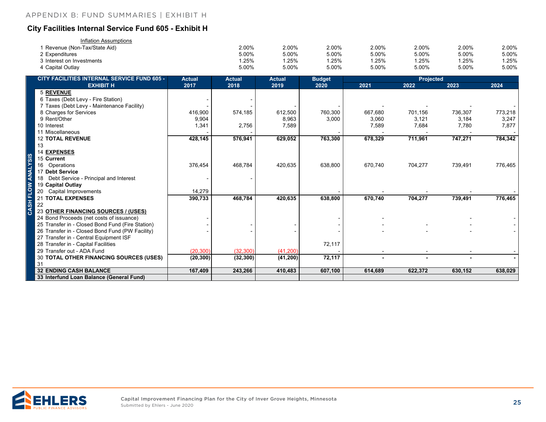#### <span id="page-24-0"></span>**City Facilities Internal Service Fund 605 - Exhibit H**

| Inflation Assumptions       |       |       |       |       |       |       |       |
|-----------------------------|-------|-------|-------|-------|-------|-------|-------|
| Revenue (Non-Tax/State Aid) | 2.00% | 2.00% | 2.00% | 2.00% | 2.00% | 2.00% | 2.00% |
| 2 Expenditures              | 5.00% | 5.00% | 5.00% | 5.00% | 5.00% | 5.00% | 5.00% |
| 3 Interest on Investments   | .25%  | .25%  | .25%  | 1.25% | .25%  | .25%  | .25%  |
| ⊦ Capital Outlav            | 5.00% | 5.00% | 5.00% | 5.00% | 5.00% | 5.00% | 5.00% |

| CITY FACILITIES INTERNAL SERVICE FUND 605 -                                                  | <b>Actual</b> | <b>Actual</b> | <b>Actual</b> | <b>Budget</b> | Projected |         |         |         |
|----------------------------------------------------------------------------------------------|---------------|---------------|---------------|---------------|-----------|---------|---------|---------|
| <b>EXHIBIT H</b>                                                                             | 2017          | 2018          | 2019          | 2020          | 2021      | 2022    | 2023    | 2024    |
| <b>5 REVENUE</b>                                                                             |               |               |               |               |           |         |         |         |
| 6 Taxes (Debt Levy - Fire Station)                                                           |               |               |               |               |           |         |         |         |
| 7 Taxes (Debt Levy - Maintenance Facility)                                                   |               |               |               |               |           |         |         |         |
| 8 Charges for Services                                                                       | 416,900       | 574,185       | 612,500       | 760,300       | 667,680   | 701,156 | 736,307 | 773,218 |
| 9 Rent/Other                                                                                 | 9,904         |               | 8,963         | 3,000         | 3,060     | 3,121   | 3,184   | 3,247   |
| 10 Interest                                                                                  | 1,341         | 2,756         | 7,589         |               | 7,589     | 7,684   | 7,780   | 7,877   |
| 11 Miscellaneous                                                                             |               |               |               |               |           |         |         |         |
| <b>12 TOTAL REVENUE</b>                                                                      | 428,145       | 576,941       | 629,052       | 763,300       | 678,329   | 711,961 | 747,271 | 784,342 |
| 13                                                                                           |               |               |               |               |           |         |         |         |
| <b>14 EXPENSES</b>                                                                           |               |               |               |               |           |         |         |         |
| 15 Current                                                                                   |               |               |               |               |           |         |         |         |
| 16 Operations                                                                                | 376,454       | 468,784       | 420,635       | 638,800       | 670,740   | 704,277 | 739,491 | 776,465 |
| 17 Debt Service                                                                              |               |               |               |               |           |         |         |         |
| Debt Service - Principal and Interest                                                        |               |               |               |               |           |         |         |         |
| 19 Capital Outlay                                                                            |               |               |               |               |           |         |         |         |
| 20 Capital Improvements                                                                      | 14,279        |               |               |               |           |         |         |         |
| 21 TOTAL EXPENSES                                                                            | 390,733       | 468,784       | 420,635       | 638,800       | 670,740   | 704,277 | 739,491 | 776,465 |
| 22                                                                                           |               |               |               |               |           |         |         |         |
| 23 OTHER FINANCING SOURCES / (USES)                                                          |               |               |               |               |           |         |         |         |
| 24 Bond Proceeds (net costs of issuance)<br>25 Transfer in - Closed Bond Fund (Fire Station) |               |               |               |               |           |         |         |         |
| 26 Transfer in - Closed Bond Fund (PW Facility)                                              |               |               |               |               |           |         |         |         |
| 27 Transfer in - Central Equipment ISF                                                       |               |               |               |               |           |         |         |         |
| 28 Transfer in - Capital Facilities                                                          |               |               |               | 72,117        |           |         |         |         |
| 29 Transfer out - ADA Fund                                                                   | (20, 300)     | (32, 300)     | (41, 200)     |               |           |         |         |         |
| 30 TOTAL OTHER FINANCING SOURCES (USES)                                                      | (20, 300)     | (32, 300)     | (41, 200)     | 72,117        |           |         |         |         |
| 31                                                                                           |               |               |               |               |           |         |         |         |
| <b>32 ENDING CASH BALANCE</b>                                                                | 167,409       | 243,266       | 410,483       | 607,100       | 614,689   | 622,372 | 630,152 | 638,029 |
| 33 Interfund Loan Balance (General Fund)                                                     |               |               |               |               |           |         |         |         |

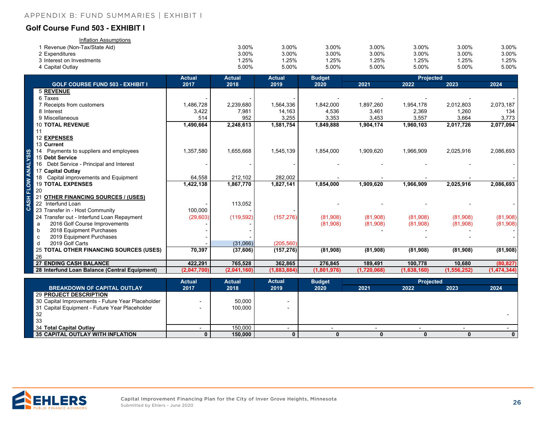#### <span id="page-25-0"></span>**Golf Course Fund 503 - EXHIBIT I**

| Inflation Assumptions       |       |       |       |       |          |       |       |
|-----------------------------|-------|-------|-------|-------|----------|-------|-------|
| Revenue (Non-Tax/State Aid) | 3.00% | 3.00% | 3.00% | 3.00% | 3.00%    | 3.00% | 3.00% |
| 2 Expenditures              | 3.00% | 3.00% | 3.00% | 3.00% | 3.00%    | 3.00% | 3.00% |
| 3 Interest on Investments   | .25%  | .25%  | .25%  | .25%  | .25%     | .25%  | .25%  |
| ⊦ Capital Outlay            | 5.00% | 5.00% | 5.00% | 5.00% | $5.00\%$ | 5.00% | 5.00% |

|             |                                               | <b>Actual</b> | <b>Actual</b> | <b>Actual</b> | <b>Budget</b> |             | <b>Projected</b> |               |             |
|-------------|-----------------------------------------------|---------------|---------------|---------------|---------------|-------------|------------------|---------------|-------------|
|             | <b>GOLF COURSE FUND 503 - EXHIBIT I</b>       | 2017          | 2018          | 2019          | 2020          | 2021        | 2022             | 2023          | 2024        |
|             | 5 REVENUE                                     |               |               |               |               |             |                  |               |             |
|             | 6 Taxes                                       |               |               |               |               |             |                  |               |             |
|             | 7 Receipts from customers                     | 1,486,728     | 2,239,680     | 1,564,336     | 1,842,000     | 1,897,260   | 1,954,178        | 2,012,803     | 2,073,187   |
|             | 8 Interest                                    | 3,422         | 7,981         | 14,163        | 4,536         | 3,461       | 2,369            | 1,260         | 134         |
|             | 9 Miscellaneous                               | 514           | 952           | 3,255         | 3,353         | 3,453       | 3,557            | 3,664         | 3,773       |
|             | <b>10 TOTAL REVENUE</b>                       | 1,490,664     | 2,248,613     | 1,581,754     | 1,849,888     | 1,904,174   | 1,960,103        | 2,017,726     | 2,077,094   |
|             | 11                                            |               |               |               |               |             |                  |               |             |
|             | 12 EXPENSES                                   |               |               |               |               |             |                  |               |             |
|             | 13 Current                                    |               |               |               |               |             |                  |               |             |
| <u>အ</u>    | 14 Payments to suppliers and employees        | 1,357,580     | 1,655,668     | 1,545,139     | 1,854,000     | 1,909,620   | 1,966,909        | 2,025,916     | 2,086,693   |
|             | 15 Debt Service                               |               |               |               |               |             |                  |               |             |
|             | Debt Service - Principal and Interest<br>16   |               |               |               |               |             |                  |               |             |
| ⋛           | 17 Capital Outlay                             |               |               |               |               |             |                  |               |             |
|             | Capital improvements and Equipment<br>18      | 64,558        | 212,102       | 282,002       |               |             |                  |               |             |
| ŏ           | <b>19 TOTAL EXPENSES</b>                      | 1,422,138     | 1,867,770     | 1,827,141     | 1,854,000     | 1,909,620   | 1,966,909        | 2,025,916     | 2,086,693   |
| 군           | 20                                            |               |               |               |               |             |                  |               |             |
| $rac{1}{2}$ | <b>OTHER FINANCING SOURCES / (USES)</b>       |               |               |               |               |             |                  |               |             |
|             | 22 Interfund Loan                             |               | 113,052       |               |               |             |                  |               |             |
| ပ           | 23 Transfer in - Host Community               | 100,000       |               |               |               |             |                  |               |             |
|             | 24 Transfer out - Interfund Loan Repayment    | (29,603)      | (119, 592)    | (157, 276)    | (81,908)      | (81,908)    | (81,908)         | (81,908)      | (81,908)    |
|             | 2016 Golf Course Improvements<br>a            |               |               |               | (81,908)      | (81,908)    | (81,908)         | (81,908)      | (81,908)    |
|             | 2018 Equipment Purchases<br>b                 |               |               |               |               |             |                  |               |             |
|             | 2019 Equipment Purchases<br>C                 |               |               |               |               |             |                  |               |             |
|             | 2019 Golf Carts<br>d                          |               | (31,066)      | (205, 560)    |               |             |                  |               |             |
|             | 25 TOTAL OTHER FINANCING SOURCES (USES)       | 70,397        | (37, 606)     | (157, 276)    | (81,908)      | (81,908)    | (81,908)         | (81,908)      | (81,908)    |
|             | 26                                            |               |               |               |               |             |                  |               |             |
|             | <b>27 ENDING CASH BALANCE</b>                 | 422,291       | 765,528       | 362,865       | 276,845       | 189,491     | 100,778          | 10,680        | (80, 827)   |
|             | 28 Interfund Loan Balance (Central Equipment) | (2,047,700)   | (2,041,160)   | (1,883,884)   | (1,801,976)   | (1,720,068) | (1,638,160)      | (1, 556, 252) | (1,474,344) |

|                                                   | <b>Actual</b> | Actual  | <b>Actual</b> | <b>Budget</b> | <b>Projected</b> |      |      |      |
|---------------------------------------------------|---------------|---------|---------------|---------------|------------------|------|------|------|
| <b>BREAKDOWN OF CAPITAL OUTLAY</b>                | 2017          | 2018    | 2019          | 2020          | 2021             | 2022 | 2023 | 2024 |
| 29 PROJECT DESCRIPTION                            |               |         |               |               |                  |      |      |      |
| 30 Capital Improvements - Future Year Placeholder |               | 50,000  |               |               |                  |      |      |      |
| 31 Capital Equipment - Future Year Placeholder    |               | 100,000 |               |               |                  |      |      |      |
| 32                                                |               |         |               |               |                  |      |      |      |
| 33                                                |               |         |               |               |                  |      |      |      |
| 34 Total Capital Outlay                           |               | 150.000 |               |               |                  |      |      |      |
| 35 CAPITAL OUTLAY WITH INFLATION                  |               | 150,000 |               |               |                  |      |      |      |

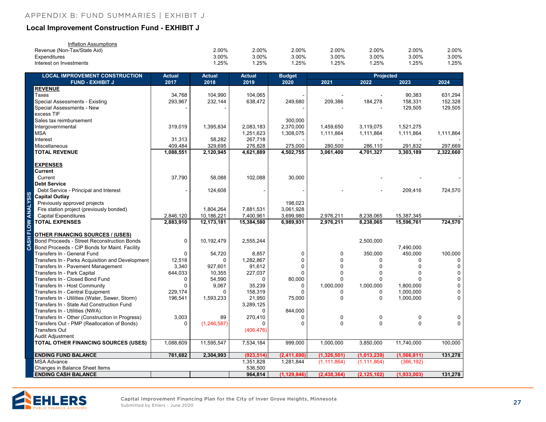#### <span id="page-26-0"></span>**Local Improvement Construction Fund - EXHIBIT J**

| Inflation Assumptions       |       |       |       |       |       |       |       |
|-----------------------------|-------|-------|-------|-------|-------|-------|-------|
| Revenue (Non-Tax/State Aid) | 2.00% | 2.00% | 2.00% | 2.00% | 2.00% | 2.00% | 2.00% |
| Expenditures                | 3.00% | 3.00% | 3.00% | 3.00% | 3.00% | 3.00% | 3.00% |
| Interest on Investments     | .25%  | .25%  | .25%  | .25%  | .25%  | .25%  | .25%  |

|                    | <b>LOCAL IMPROVEMENT CONSTRUCTION</b>            | <b>Actual</b> | <b>Actual</b> | <b>Actual</b> | <b>Budget</b> |                | Projected<br>2021<br>2022<br>2023 |               |             |  |
|--------------------|--------------------------------------------------|---------------|---------------|---------------|---------------|----------------|-----------------------------------|---------------|-------------|--|
|                    | <b>FUND - EXHIBIT J</b>                          | 2017          | 2018          | 2019          | 2020          |                |                                   |               | 2024        |  |
|                    | <b>REVENUE</b>                                   |               |               |               |               |                |                                   |               |             |  |
|                    | Taxes                                            | 34,768        | 104,990       | 104,065       |               |                |                                   | 90,383        | 631.294     |  |
|                    | <b>Special Assessments - Existing</b>            | 293,967       | 232,144       | 638,472       | 249,680       | 209,386        | 184,278                           | 158,331       | 152,328     |  |
|                    | Special Assessments - New                        |               |               |               |               |                |                                   | 129,505       | 129,505     |  |
|                    | excess TIF                                       |               |               |               |               |                |                                   |               |             |  |
|                    | Sales tax reimbursement                          |               |               |               | 300,000       |                |                                   |               |             |  |
|                    | Intergovernmental                                | 319,019       | 1,395,834     | 2,083,183     | 2,370,000     | 1,459,650      | 3,119,075                         | 1,521,275     |             |  |
|                    | <b>MSA</b>                                       |               |               | 1,251,623     | 1,308,075     | 1,111,864      | 1,111,864                         | 1,111,864     | 1,111,864   |  |
|                    | Interest                                         | 31,313        | 58,282        | 267,718       |               |                |                                   |               |             |  |
|                    | Miscellaneous                                    | 409,484       | 329,695       | 276,828       | 275,000       | 280,500        | 286,110                           | 291,832       | 297,669     |  |
|                    | <b>TOTAL REVENUE</b>                             | 1,088,551     | 2,120,945     | 4,621,889     | 4,502,755     | 3,061,400      | 4,701,327                         | 3,303,189     | 2,322,660   |  |
|                    |                                                  |               |               |               |               |                |                                   |               |             |  |
|                    | <b>EXPENSES</b>                                  |               |               |               |               |                |                                   |               |             |  |
|                    | Current                                          |               |               |               |               |                |                                   |               |             |  |
|                    | Current                                          | 37,790        | 58,088        | 102,088       | 30,000        |                |                                   |               |             |  |
|                    | <b>Debt Service</b>                              |               |               |               |               |                |                                   |               |             |  |
|                    | Debt Service - Principal and Interest            |               | 124,608       |               |               |                |                                   | 209,416       | 724,570     |  |
|                    | <b>Capital Outlay</b>                            |               |               |               |               |                |                                   |               |             |  |
|                    | Previously approved projects                     |               |               |               | 198,023       |                |                                   |               |             |  |
|                    | Fire station project (previously bonded)         |               | 1,804,264     | 7,881,531     | 3,061,928     |                |                                   |               |             |  |
|                    | <b>Capital Expenditures</b>                      | 2,846,120     | 10,186,221    | 7,400,961     | 3,699,980     | 2,976,211      | 8,238,065                         | 15,387,345    |             |  |
|                    | <b>TOTAL EXPENSES</b>                            | 2,883,910     | 12,173,181    | 15,384,580    | 6,989,931     | 2,976,211      | 8,238,065                         | 15,596,761    | 724,570     |  |
| CASH FLOW ANALYSIS |                                                  |               |               |               |               |                |                                   |               |             |  |
|                    | <b>OTHER FINANCING SOURCES / (USES)</b>          |               |               |               |               |                |                                   |               |             |  |
|                    | Bond Proceeds - Street Reconstruction Bonds      | 0             | 10,192,479    | 2,555,244     |               |                | 2,500,000                         |               |             |  |
|                    | Bond Proceeds - CIP Bonds for Maint. Facility    |               |               |               |               |                |                                   | 7,490,000     |             |  |
|                    | Transfers In - General Fund                      | $\Omega$      | 54,720        | 8,857         | $\mathbf 0$   | $\mathbf 0$    | 350,000                           | 450,000       | 100,000     |  |
|                    | Transfers In - Parks Acquisition and Development | 12,518        | $\mathbf{0}$  | 1,282,867     | $\Omega$      | $\Omega$       | $\Omega$                          | $\Omega$      | $\mathbf 0$ |  |
|                    | Transfers In - Pavement Management               | 3,340         | 927,601       | 91,612        | $\Omega$      | 0              | $\Omega$                          | $\Omega$      | $\mathbf 0$ |  |
|                    | Transfers In - Park Capital                      | 644,033       | 10,355        | 227,037       | $\Omega$      | $\overline{0}$ | $\Omega$                          | $\Omega$      | 0           |  |
|                    | Transfers In - Closed Bond Fund                  | 0             | 54,590        | 0             | 80,000        | $\Omega$       | $\Omega$                          | U             | $\mathbf 0$ |  |
|                    | Transfers In - Host Community                    | 0             | 9,067         | 35,239        | 0             | 1,000,000      | 1,000,000                         | 1,800,000     | 0           |  |
|                    | Transfers In - Central Equipment                 | 229,174       | $\Omega$      | 158,319       | U             | $\mathbf 0$    | $\Omega$                          | 1,000,000     | $\mathbf 0$ |  |
|                    | Transfers In - Utilities (Water, Sewer, Storm)   | 196,541       | 1,593,233     | 21,950        | 75,000        | $\mathbf 0$    | $\mathbf{0}$                      | 1,000,000     | $\Omega$    |  |
|                    | Transfers In - State Aid Construction Fund       |               |               | 3,289,125     |               |                |                                   |               |             |  |
|                    | Transfers In - Utilities (NWA)                   |               |               | O             | 844,000       |                |                                   |               |             |  |
|                    | Transfers In - Other (Construction in Progress)  | 3,003         | 89            | 270,410       | $\Omega$      | 0              | 0                                 | $\Omega$      | 0           |  |
|                    | Transfers Out - PMP (Reallocation of Bonds)      | $\Omega$      | (1, 246, 587) |               | $\Omega$      | $\Omega$       | $\Omega$                          | $\Omega$      | $\Omega$    |  |
|                    | <b>Transfers Out</b>                             |               |               | (406, 476)    |               |                |                                   |               |             |  |
|                    | Audit Adjustment                                 |               |               |               |               |                |                                   |               |             |  |
|                    | <b>TOTAL OTHER FINANCING SOURCES (USES)</b>      | 1,088,609     | 11,595,547    | 7,534,184     | 999,000       | 1,000,000      | 3,850,000                         | 11,740,000    | 100,000     |  |
|                    |                                                  |               |               |               |               |                |                                   |               |             |  |
|                    | <b>ENDING FUND BALANCE</b>                       | 761,682       | 2,304,993     | (923, 514)    | (2,411,690)   | (1,326,501)    | (1,013,239)                       | (1, 566, 811) | 131,278     |  |
|                    | <b>MSA Advance</b>                               |               |               | 1,351,828     | 1,281,844     | (1, 111, 864)  | (1, 111, 864)                     | (366, 192)    |             |  |
|                    | Changes in Balance Sheet Items                   |               |               | 536,500       |               |                |                                   |               |             |  |
|                    | <b>ENDING CASH BALANCE</b>                       |               |               | 964,814       | (1, 129, 846) | (2, 438, 364)  | (2, 125, 102)                     | (1,933,003)   | 131,278     |  |

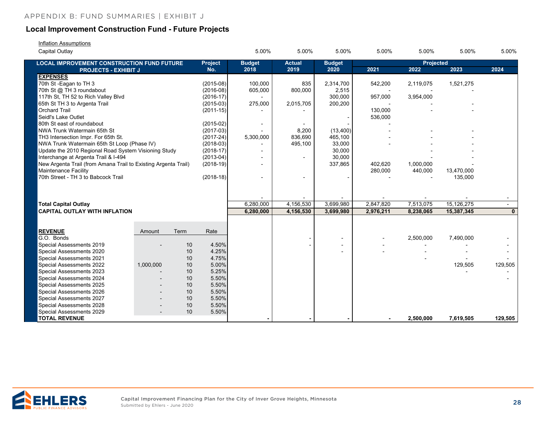#### **Local Improvement Construction Fund - Future Projects**

| Inflation Assumptions |
|-----------------------|
|-----------------------|

| Capital Outlay                                                 |           |      |                       | 5.00%                    | 5.00%                 | 5.00%                 | 5.00%     | 5.00%             | 5.00%      | 5.00%        |
|----------------------------------------------------------------|-----------|------|-----------------------|--------------------------|-----------------------|-----------------------|-----------|-------------------|------------|--------------|
| <b>LOCAL IMPROVEMENT CONSTRUCTION FUND FUTURE</b>              |           |      | <b>Project</b><br>No. | <b>Budget</b><br>2018    | <b>Actual</b><br>2019 | <b>Budget</b><br>2020 | 2021      | Projected<br>2022 | 2023       | 2024         |
| <b>PROJECTS - EXHIBIT J</b><br><b>EXPENSES</b>                 |           |      |                       |                          |                       |                       |           |                   |            |              |
| 70th St - Eagan to TH 3                                        |           |      | $(2015-08)$           | 100,000                  | 835                   | 2,314,700             | 542,200   | 2,119,075         | 1,521,275  |              |
| 70th St @ TH 3 roundabout                                      |           |      | $(2016-08)$           | 605,000                  | 800,000               | 2,515                 |           |                   |            |              |
| 117th St, TH 52 to Rich Valley Blvd                            |           |      | $(2016-17)$           |                          |                       | 300,000               | 957,000   | 3,954,000         |            |              |
| 65th St TH 3 to Argenta Trail                                  |           |      | $(2015-03)$           | 275,000                  | 2,015,705             | 200,200               |           |                   |            |              |
| <b>Orchard Trail</b>                                           |           |      | $(2011 - 15)$         |                          |                       |                       | 130,000   |                   |            |              |
| Seidl's Lake Outlet                                            |           |      |                       |                          |                       |                       | 536,000   |                   |            |              |
| 80th St east of roundabout                                     |           |      | $(2015-02)$           | $\overline{\phantom{a}}$ |                       |                       |           |                   |            |              |
| NWA Trunk Watermain 65th St                                    |           |      | $(2017-03)$           |                          | 8,200                 | (13,400)              |           |                   |            |              |
| TH3 Intersection Impr. For 65th St.                            |           |      | $(2017 - 24)$         | 5,300,000                | 836,690               | 465,100               |           |                   |            |              |
| NWA Trunk Watermain 65th St Loop (Phase IV)                    |           |      | $(2018-03)$           |                          | 495,100               | 33,000                |           |                   |            |              |
| Update the 2010 Regional Road System Visioning Study           |           |      | $(2018-17)$           |                          |                       | 30,000                |           |                   |            |              |
| Interchange at Argenta Trail & I-494                           |           |      | $(2013-04)$           |                          |                       | 30,000                |           |                   |            |              |
| New Argenta Trail (from Amana Trail to Existing Argenta Trail) |           |      | $(2018-19)$           |                          |                       | 337,865               | 402,620   | 1,000,000         |            |              |
| Maintenance Facility                                           |           |      |                       |                          |                       |                       | 280,000   | 440,000           | 13,470,000 |              |
| 70th Street - TH 3 to Babcock Trail                            |           |      | $(2018-18)$           |                          |                       |                       |           |                   | 135,000    |              |
|                                                                |           |      |                       |                          |                       |                       |           |                   |            |              |
|                                                                |           |      |                       |                          |                       |                       |           |                   |            |              |
| <b>Total Capital Outlay</b>                                    |           |      |                       | 6,280,000                | 4,156,530             | 3,699,980             | 2,847,820 | 7,513,075         | 15,126,275 |              |
| <b>CAPITAL OUTLAY WITH INFLATION</b>                           |           |      |                       | 6,280,000                | 4,156,530             | 3,699,980             | 2,976,211 | 8,238,065         | 15,387,345 | $\mathbf{0}$ |
|                                                                |           |      |                       |                          |                       |                       |           |                   |            |              |
| <b>REVENUE</b>                                                 | Amount    | Term | Rate                  |                          |                       |                       |           |                   |            |              |
| G.O. Bonds                                                     |           |      |                       |                          |                       |                       |           | 2,500,000         | 7,490,000  |              |
| Special Assessments 2019                                       |           | 10   | 4.50%                 |                          |                       |                       |           |                   |            |              |
| Special Assessments 2020                                       |           | 10   | 4.25%                 |                          |                       |                       |           |                   |            |              |
| Special Assessments 2021                                       |           | 10   | 4.75%                 |                          |                       |                       |           |                   |            |              |
| Special Assessments 2022                                       | 1,000,000 | 10   | 5.00%                 |                          |                       |                       |           |                   | 129,505    | 129,505      |
| Special Assessments 2023                                       |           | 10   | 5.25%                 |                          |                       |                       |           |                   |            |              |
| Special Assessments 2024                                       |           | 10   | 5.50%                 |                          |                       |                       |           |                   |            |              |
| Special Assessments 2025                                       |           | 10   | 5.50%                 |                          |                       |                       |           |                   |            |              |
| Special Assessments 2026                                       |           | 10   | 5.50%                 |                          |                       |                       |           |                   |            |              |
| Special Assessments 2027                                       |           | 10   | 5.50%                 |                          |                       |                       |           |                   |            |              |
| Special Assessments 2028                                       |           | 10   | 5.50%                 |                          |                       |                       |           |                   |            |              |
| Special Assessments 2029                                       |           | 10   | 5.50%                 |                          |                       |                       |           |                   |            |              |
| <b>TOTAL REVENUE</b>                                           |           |      |                       |                          |                       |                       |           | 2,500,000         | 7,619,505  | 129,505      |

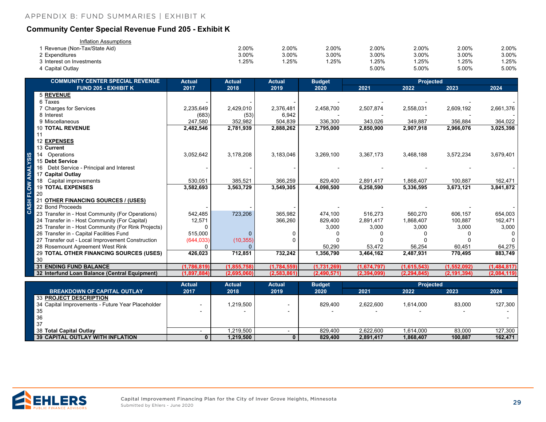#### <span id="page-28-0"></span>**Community Center Special Revenue Fund 205 - Exhibit K**

| Inflation Assumptions       |       |       |       |       |       |       |       |
|-----------------------------|-------|-------|-------|-------|-------|-------|-------|
| Revenue (Non-Tax/State Aid) | 2.00% | 2.00% | 2.00% | 2.00% | 2.00% | 2.00% | 2.00% |
| 2 Expenditures              | 3.00% | 3.00% | 3.00% | 3.00% | 3.00% | 3.00% | 3.00% |
| 3 Interest on Investments   | .25%  | .25%  | .25%  | .25%  | .25%  | .25%  | .25%  |
| 4 Capital Outlay            |       |       |       | 5.00% | 5.00% | 5.00% | 5.00% |

| <b>COMMUNITY CENTER SPECIAL REVENUE</b>             | <b>Actual</b> | <b>Actual</b> | <b>Actual</b> | <b>Budget</b> | <b>Projected</b> |               |               |             |
|-----------------------------------------------------|---------------|---------------|---------------|---------------|------------------|---------------|---------------|-------------|
| <b>FUND 205 - EXHIBIT K</b>                         | 2017          | 2018          | 2019          | 2020          | 2021             | 2022          | 2023          | 2024        |
| <b>5 REVENUE</b>                                    |               |               |               |               |                  |               |               |             |
| 6 Taxes                                             |               |               |               |               |                  |               |               |             |
| 7 Charges for Services                              | 2,235,649     | 2,429,010     | 2,376,481     | 2,458,700     | 2,507,874        | 2,558,031     | 2,609,192     | 2,661,376   |
| 8 Interest                                          | (683)         | (53)          | 6,942         |               |                  |               |               |             |
| 9 Miscellaneous                                     | 247,580       | 352,982       | 504,839       | 336,300       | 343,026          | 349,887       | 356,884       | 364,022     |
| <b>10 TOTAL REVENUE</b>                             | 2,482,546     | 2,781,939     | 2,888,262     | 2,795,000     | 2,850,900        | 2,907,918     | 2,966,076     | 3,025,398   |
|                                                     |               |               |               |               |                  |               |               |             |
| <b>12 EXPENSES</b>                                  |               |               |               |               |                  |               |               |             |
| 13 Current                                          |               |               |               |               |                  |               |               |             |
| Operations                                          | 3,052,642     | 3,178,208     | 3,183,046     | 3,269,100     | 3,367,173        | 3,468,188     | 3,572,234     | 3,679,401   |
| 15 Debt Service                                     |               |               |               |               |                  |               |               |             |
| Debt Service - Principal and Interest<br>16         |               |               |               |               |                  |               |               |             |
| 17 Capital Outlay                                   |               |               |               |               |                  |               |               |             |
| Capital improvements                                | 530,051       | 385,521       | 366,259       | 829,400       | 2,891,417        | 1,868,407     | 100,887       | 162,471     |
| <b>19 TOTAL EXPENSES</b>                            | 3,582,693     | 3,563,729     | 3,549,305     | 4,098,500     | 6,258,590        | 5,336,595     | 3,673,121     | 3,841,872   |
| 20                                                  |               |               |               |               |                  |               |               |             |
| <b>OTHER FINANCING SOURCES / (USES)</b><br>-21      |               |               |               |               |                  |               |               |             |
| 22 Bond Proceeds                                    |               |               |               |               |                  |               |               |             |
| 23 Transfer in - Host Community (For Operations)    | 542,485       | 723,206       | 365,982       | 474,100       | 516,273          | 560.270       | 606,157       | 654,003     |
| 24 Transfer in - Host Community (For Capital)       | 12,571        |               | 366,260       | 829,400       | 2,891,417        | 1,868,407     | 100,887       | 162.471     |
| 25 Transfer in - Host Community (For Rink Projects) | ∩             |               |               | 3,000         | 3,000            | 3,000         | 3,000         | 3,000       |
| 26 Transfer in - Capital Facilities Fund            | 515,000       |               |               |               |                  |               |               |             |
| 27 Transfer out - Local Improvement Construction    | (644, 033)    | (10, 355)     |               |               |                  |               |               |             |
| 28 Rosemount Agreement West Rink                    | O             |               |               | 50,290        | 53,472           | 56,254        | 60,451        | 64,275      |
| 29 TOTAL OTHER FINANCING SOURCES (USES)             | 426,023       | 712,851       | 732,242       | 1,356,790     | 3,464,162        | 2,487,931     | 770,495       | 883,749     |
| 30                                                  |               |               |               |               |                  |               |               |             |
| <b>31 ENDING FUND BALANCE</b>                       | (1,786,819)   | (1, 855, 758) | (1,784,559)   | (1,731,269)   | (1,674,797)      | (1,615,543)   | (1,552,092)   | (1,484,817) |
| 32 Interfund Loan Balance (Central Equipment)       | (1,897,884)   | (2,695,060)   | (2,583,861)   | (2,490,571)   | (2, 394, 099)    | (2, 294, 845) | (2, 191, 394) | (2,084,119) |

|                                                   | <b>Actual</b> | <b>Actual</b> | <b>Actual</b> | <b>Budget</b> |           | <b>Projected</b> |                          |         |
|---------------------------------------------------|---------------|---------------|---------------|---------------|-----------|------------------|--------------------------|---------|
| <b>BREAKDOWN OF CAPITAL OUTLAY</b>                | 2017          | 2018          | 2019          | 2020          | 2021      | 2022             | 2023                     | 2024    |
| 33 PROJECT DESCRIPTION                            |               |               |               |               |           |                  |                          |         |
| 34 Capital Improvements - Future Year Placeholder |               | .219,500      |               | 829.400       | 2.622.600 | 1.614.000        | 83.000                   | 127.300 |
| -35                                               |               |               |               |               |           |                  | $\overline{\phantom{a}}$ |         |
| 36                                                |               |               |               |               |           |                  |                          |         |
| -37                                               |               |               |               |               |           |                  |                          |         |
| 38 Total Capital Outlay                           |               | ,219,500      |               | 829.400       | 2,622,600 | 1,614,000        | 83,000                   | 127,300 |
| I 39 CAPITAL OUTLAY WITH INFLATION I              |               | 1,219,500     |               | 829,400       | 2,891,417 | 1,868,407        | 100,887                  | 162,471 |

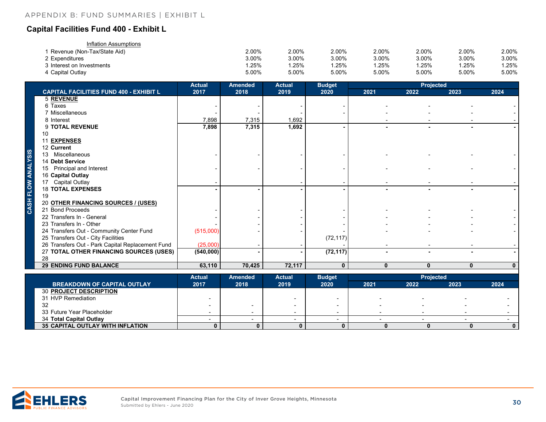#### <span id="page-29-0"></span>**Capital Facilities Fund 400 - Exhibit L**

| Inflation Assumptions       |       |       |       |       |          |       |       |
|-----------------------------|-------|-------|-------|-------|----------|-------|-------|
| Revenue (Non-Tax/State Aid) | 2.00% | 2.00% | 2.00% | 2.00% | 2.00%    | 2.00% | 2.00% |
| 2 Expenditures              | 3.00% | 3.00% | 3.00% | 3.00% | 3.00%    | 3.00% | 3.00% |
| 3 Interest on Investments   | .25%  | .25%  | .25%  | .25%  | $1.25\%$ | 1.25% | .25%  |
| 4 Capital Outlay            | 5.00% | 5.00% | 5.00% | 5.00% | 5.00%    | 5.00% | 5.00% |

|                    |                                                  | <b>Actual</b> | <b>Amended</b> | <b>Actual</b> | <b>Budget</b> |              | <b>Projected</b> |              |              |
|--------------------|--------------------------------------------------|---------------|----------------|---------------|---------------|--------------|------------------|--------------|--------------|
|                    | <b>CAPITAL FACILITIES FUND 400 - EXHIBIT L</b>   | 2017          | 2018           | 2019          | 2020          | 2021         | 2022             | 2023         | 2024         |
|                    | <b>5 REVENUE</b>                                 |               |                |               |               |              |                  |              |              |
|                    | 6 Taxes                                          |               |                |               |               |              |                  |              |              |
|                    | 7 Miscellaneous                                  |               |                |               |               |              |                  |              |              |
|                    | 8 Interest                                       | 7,898         | 7,315          | 1,692         |               |              |                  |              |              |
|                    | 9 TOTAL REVENUE                                  | 7,898         | 7,315          | 1,692         |               |              |                  |              |              |
|                    | 10                                               |               |                |               |               |              |                  |              |              |
|                    | <b>EXPENSES</b>                                  |               |                |               |               |              |                  |              |              |
|                    | 12 Current                                       |               |                |               |               |              |                  |              |              |
|                    | 13 Miscellaneous                                 |               |                |               |               |              |                  |              |              |
|                    | 14 Debt Service                                  |               |                |               |               |              |                  |              |              |
|                    | 15 Principal and Interest                        |               |                |               |               |              |                  |              |              |
|                    | 16 Capital Outlay                                |               |                |               |               |              |                  |              |              |
|                    | 17 Capital Outlay                                |               |                |               |               |              |                  |              |              |
| CASH FLOW ANALYSIS | <b>18 TOTAL EXPENSES</b>                         |               |                |               |               |              |                  |              |              |
|                    | 19                                               |               |                |               |               |              |                  |              |              |
|                    | 20 OTHER FINANCING SOURCES / (USES)              |               |                |               |               |              |                  |              |              |
|                    | 21 Bond Proceeds                                 |               |                |               |               |              |                  |              |              |
|                    | 22 Transfers In - General                        |               |                |               |               |              |                  |              |              |
|                    | 23 Transfers In - Other                          |               |                |               |               |              |                  |              |              |
|                    | 24 Transfers Out - Community Center Fund         | (515,000)     |                |               |               |              |                  |              |              |
|                    | 25 Transfers Out - City Facilities               |               |                |               | (72, 117)     |              |                  |              |              |
|                    | 26 Transfers Out - Park Capital Replacement Fund | (25,000)      |                |               |               |              |                  |              |              |
|                    | 27 TOTAL OTHER FINANCING SOURCES (USES)          | (540,000)     |                |               | (72, 117)     |              |                  |              |              |
|                    | 28                                               |               |                |               |               |              |                  |              |              |
|                    | <b>29 ENDING FUND BALANCE</b>                    | 63,110        | 70,425         | 72,117        | $\mathbf{0}$  | $\mathbf{0}$ | $\mathbf{0}$     | $\mathbf{0}$ | $\mathbf{0}$ |

|                                         | <b>Actual</b> | Amended | <b>Actual</b> | <b>Budget</b> |                          | <b>Projected</b> |      |      |
|-----------------------------------------|---------------|---------|---------------|---------------|--------------------------|------------------|------|------|
| <b>BREAKDOWN OF CAPITAL OUTLAY</b>      | 2017          | 2018    | 2019          | 2020          | 2021                     | 2022             | 2023 | 2024 |
| <b>30 PROJECT DESCRIPTION</b>           |               |         |               |               |                          |                  |      |      |
| 31 HVP Remediation                      |               |         |               |               | $\overline{\phantom{0}}$ |                  |      |      |
| 32                                      |               |         | -             |               | $\overline{\phantom{0}}$ |                  |      |      |
| 33 Future Year Placeholder              |               |         | -             |               |                          |                  |      |      |
| 34 Total Capital Outlay                 |               |         |               |               |                          |                  |      |      |
| <b>35 CAPITAL OUTLAY WITH INFLATION</b> |               |         |               |               |                          |                  |      | 0    |

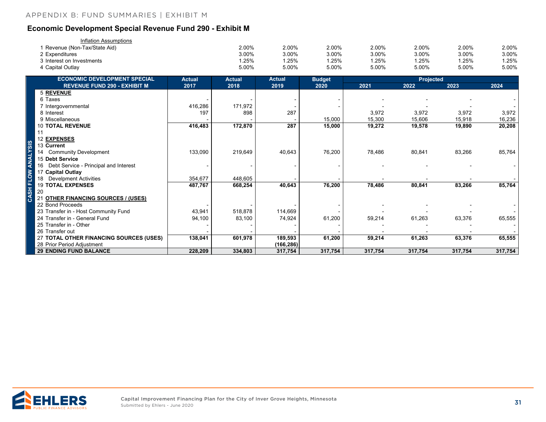#### <span id="page-30-0"></span>**Economic Development Special Revenue Fund 290 - Exhibit M**

| Inflation Assumptions       |       |       |       |       |       |       |       |
|-----------------------------|-------|-------|-------|-------|-------|-------|-------|
| Revenue (Non-Tax/State Aid) | 2.00% | 2.00% | 2.00% | 2.00% | 2.00% | 2.00% | 2.00% |
| 2 Expenditures              | 3.00% | 3.00% | 3.00% | 3.00% | 3.00% | 3.00% | 3.00% |
| 3 Interest on Investments   | .25%  | .25%  | .25%  | .25%  | .25%  | .25%  | .25%  |
| 4 Capital Outlay            | 5.00% | 5.00% | 5.00% | 5.00% | 5.00% | 5.00% | 5.00% |

| <b>ECONOMIC DEVELOPMENT SPECIAL</b>           | <b>Actual</b> | <b>Actual</b> | <b>Actual</b> | <b>Budget</b> |         |         |         |         |
|-----------------------------------------------|---------------|---------------|---------------|---------------|---------|---------|---------|---------|
| <b>REVENUE FUND 290 - EXHIBIT M</b>           | 2017          | 2018          | 2019          | 2020          | 2021    | 2022    | 2023    | 2024    |
| 5 REVENUE                                     |               |               |               |               |         |         |         |         |
| 6 Taxes                                       |               |               |               |               |         |         |         |         |
| 7 Intergovernmental                           | 416,286       | 171,972       |               |               |         |         |         |         |
| 8 Interest                                    | 197           | 898           | 287           |               | 3,972   | 3,972   | 3,972   | 3,972   |
| 9 Miscellaneous                               |               |               |               | 15,000        | 15,300  | 15,606  | 15,918  | 16,236  |
| <b>10 TOTAL REVENUE</b>                       | 416,483       | 172,870       | 287           | 15,000        | 19,272  | 19,578  | 19,890  | 20,208  |
| 11                                            |               |               |               |               |         |         |         |         |
| 12 EXPENSES                                   |               |               |               |               |         |         |         |         |
| 13 Current                                    |               |               |               |               |         |         |         |         |
| <b>Community Development</b>                  | 133,090       | 219,649       | 40,643        | 76,200        | 78,486  | 80,841  | 83,266  | 85,764  |
| 15 Debt Service                               |               |               |               |               |         |         |         |         |
| Debt Service - Principal and Interest<br>16   |               |               |               |               |         |         |         |         |
| 17 Capital Outlay                             |               |               |               |               |         |         |         |         |
| <b>Develpment Activities</b>                  | 354,677       | 448,605       |               |               |         |         |         |         |
| <b>19 TOTAL EXPENSES</b>                      | 487,767       | 668,254       | 40,643        | 76,200        | 78,486  | 80,841  | 83,266  | 85,764  |
| 20                                            |               |               |               |               |         |         |         |         |
| <b>OTHER FINANCING SOURCES / (USES)</b><br>21 |               |               |               |               |         |         |         |         |
| 22 Bond Proceeds                              |               |               |               |               |         |         |         |         |
| 23 Transfer in - Host Community Fund          | 43,941        | 518,878       | 114,669       |               |         |         |         |         |
| 24 Transfer in - General Fund                 | 94,100        | 83,100        | 74,924        | 61,200        | 59,214  | 61,263  | 63,376  | 65,555  |
| 25 Transfer in - Other                        |               |               |               |               |         |         |         |         |
| 26 Transfer out                               |               |               |               |               |         |         |         |         |
| 27 TOTAL OTHER FINANCING SOURCES (USES)       | 138,041       | 601,978       | 189,593       | 61,200        | 59,214  | 61,263  | 63,376  | 65,555  |
| 28 Prior Period Adjustment                    |               |               | (166, 286)    |               |         |         |         |         |
| <b>29 ENDING FUND BALANCE</b>                 | 228,209       | 334,803       | 317,754       | 317,754       | 317,754 | 317,754 | 317,754 | 317,754 |